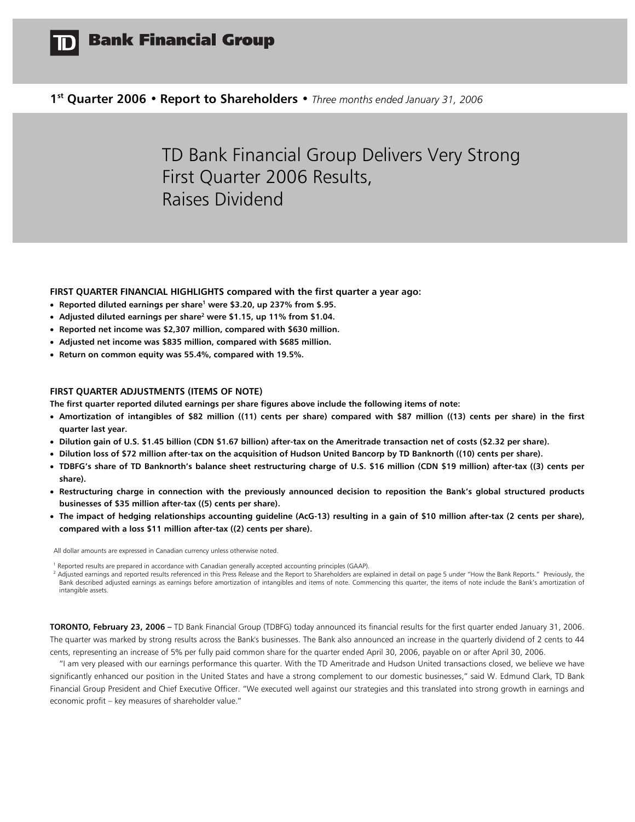

# **Bank Financial Group**

## **1st Quarter 2006 • Report to Shareholders •** *Three months ended January 31, 2006*

# TD Bank Financial Group Delivers Very Strong First Quarter 2006 Results, Raises Dividend

## **FIRST QUARTER FINANCIAL HIGHLIGHTS compared with the first quarter a year ago:**

- **•** Reported diluted earnings per share<sup>1</sup> were \$3.20, up 237% from \$.95.
- **•** Adjusted diluted earnings per share<sup>2</sup> were \$1.15, up 11% from \$1.04.
- **Reported net income was \$2,307 million, compared with \$630 million.**
- **Adjusted net income was \$835 million, compared with \$685 million.**
- **Return on common equity was 55.4%, compared with 19.5%.**

## **FIRST QUARTER ADJUSTMENTS (ITEMS OF NOTE)**

**The first quarter reported diluted earnings per share figures above include the following items of note:** 

- **Amortization of intangibles of \$82 million ((11) cents per share) compared with \$87 million ((13) cents per share) in the first quarter last year.**
- **Dilution gain of U.S. \$1.45 billion (CDN \$1.67 billion) after-tax on the Ameritrade transaction net of costs (\$2.32 per share).**
- **Dilution loss of \$72 million after-tax on the acquisition of Hudson United Bancorp by TD Banknorth ((10) cents per share).**
- **TDBFG's share of TD Banknorth's balance sheet restructuring charge of U.S. \$16 million (CDN \$19 million) after-tax ((3) cents per share).**
- **Restructuring charge in connection with the previously announced decision to reposition the Bank's global structured products businesses of \$35 million after-tax ((5) cents per share).**
- **The impact of hedging relationships accounting guideline (AcG-13) resulting in a gain of \$10 million after-tax (2 cents per share), compared with a loss \$11 million after-tax ((2) cents per share).**

All dollar amounts are expressed in Canadian currency unless otherwise noted.

- 
- <sup>1</sup> Reported results are prepared in accordance with Canadian generally accepted accounting principles (GAAP).<br><sup>2</sup> Adjusted earnings and reported results referenced in this Press Release and the Report to Shareholders are Bank described adjusted earnings as earnings before amortization of intangibles and items of note. Commencing this quarter, the items of note include the Bank's amortization of intangible assets.

**TORONTO, February 23, 2006 –** TD Bank Financial Group (TDBFG) today announced its financial results for the first quarter ended January 31, 2006. The quarter was marked by strong results across the Bank's businesses. The Bank also announced an increase in the quarterly dividend of 2 cents to 44 cents, representing an increase of 5% per fully paid common share for the quarter ended April 30, 2006, payable on or after April 30, 2006.

 "I am very pleased with our earnings performance this quarter. With the TD Ameritrade and Hudson United transactions closed, we believe we have significantly enhanced our position in the United States and have a strong complement to our domestic businesses," said W. Edmund Clark, TD Bank Financial Group President and Chief Executive Officer. "We executed well against our strategies and this translated into strong growth in earnings and economic profit – key measures of shareholder value."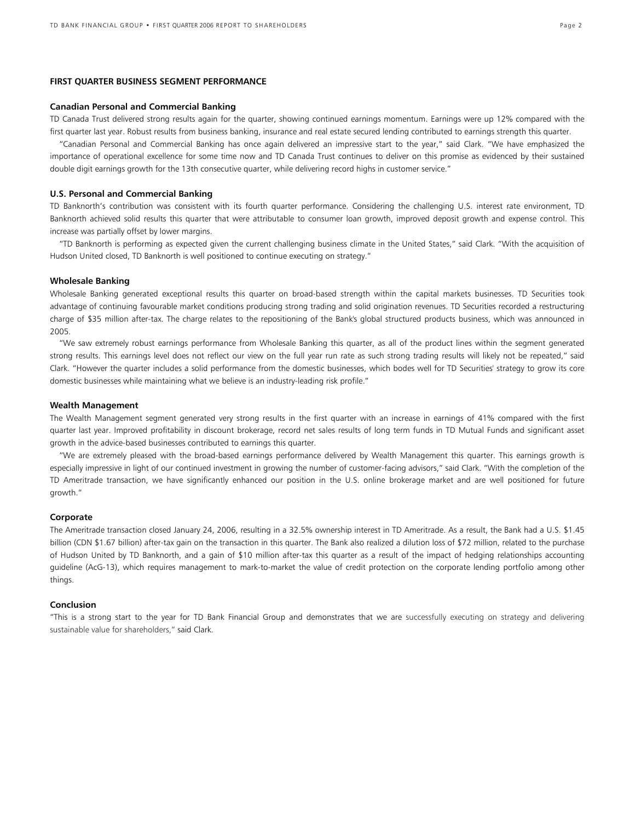#### **FIRST QUARTER BUSINESS SEGMENT PERFORMANCE**

#### **Canadian Personal and Commercial Banking**

TD Canada Trust delivered strong results again for the quarter, showing continued earnings momentum. Earnings were up 12% compared with the first quarter last year. Robust results from business banking, insurance and real estate secured lending contributed to earnings strength this quarter.

"Canadian Personal and Commercial Banking has once again delivered an impressive start to the year," said Clark. "We have emphasized the importance of operational excellence for some time now and TD Canada Trust continues to deliver on this promise as evidenced by their sustained double digit earnings growth for the 13th consecutive quarter, while delivering record highs in customer service."

#### **U.S. Personal and Commercial Banking**

TD Banknorth's contribution was consistent with its fourth quarter performance. Considering the challenging U.S. interest rate environment, TD Banknorth achieved solid results this quarter that were attributable to consumer loan growth, improved deposit growth and expense control. This increase was partially offset by lower margins.

 "TD Banknorth is performing as expected given the current challenging business climate in the United States," said Clark. "With the acquisition of Hudson United closed, TD Banknorth is well positioned to continue executing on strategy."

### **Wholesale Banking**

Wholesale Banking generated exceptional results this quarter on broad-based strength within the capital markets businesses. TD Securities took advantage of continuing favourable market conditions producing strong trading and solid origination revenues. TD Securities recorded a restructuring charge of \$35 million after-tax. The charge relates to the repositioning of the Bank's global structured products business, which was announced in 2005.

 "We saw extremely robust earnings performance from Wholesale Banking this quarter, as all of the product lines within the segment generated strong results. This earnings level does not reflect our view on the full year run rate as such strong trading results will likely not be repeated," said Clark. "However the quarter includes a solid performance from the domestic businesses, which bodes well for TD Securities' strategy to grow its core domestic businesses while maintaining what we believe is an industry-leading risk profile."

## **Wealth Management**

The Wealth Management segment generated very strong results in the first quarter with an increase in earnings of 41% compared with the first quarter last year. Improved profitability in discount brokerage, record net sales results of long term funds in TD Mutual Funds and significant asset growth in the advice-based businesses contributed to earnings this quarter.

 "We are extremely pleased with the broad-based earnings performance delivered by Wealth Management this quarter. This earnings growth is especially impressive in light of our continued investment in growing the number of customer-facing advisors," said Clark. "With the completion of the TD Ameritrade transaction, we have significantly enhanced our position in the U.S. online brokerage market and are well positioned for future growth."

## **Corporate**

The Ameritrade transaction closed January 24, 2006, resulting in a 32.5% ownership interest in TD Ameritrade. As a result, the Bank had a U.S. \$1.45 billion (CDN \$1.67 billion) after-tax gain on the transaction in this quarter. The Bank also realized a dilution loss of \$72 million, related to the purchase of Hudson United by TD Banknorth, and a gain of \$10 million after-tax this quarter as a result of the impact of hedging relationships accounting guideline (AcG-13), which requires management to mark-to-market the value of credit protection on the corporate lending portfolio among other things.

## **Conclusion**

"This is a strong start to the year for TD Bank Financial Group and demonstrates that we are successfully executing on strategy and delivering sustainable value for shareholders," said Clark.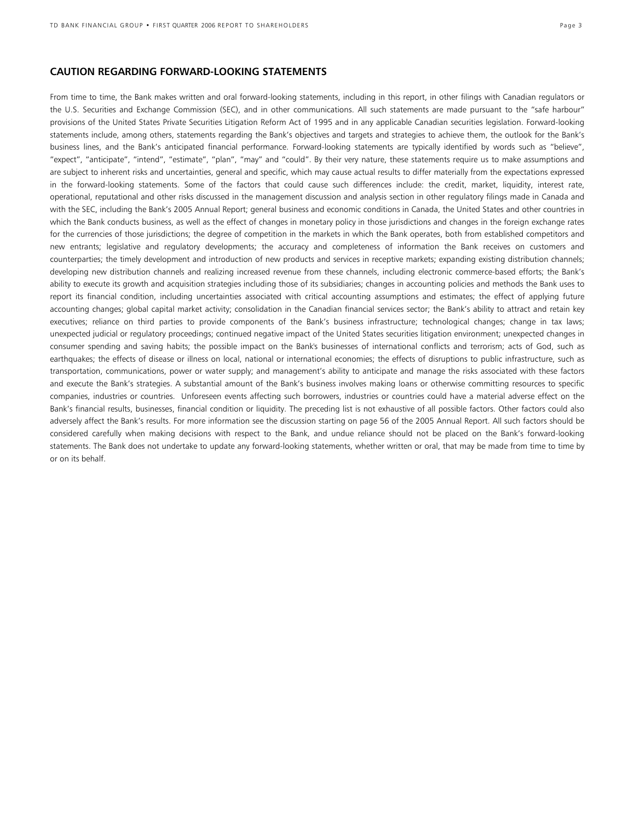## **CAUTION REGARDING FORWARD-LOOKING STATEMENTS**

From time to time, the Bank makes written and oral forward-looking statements, including in this report, in other filings with Canadian regulators or the U.S. Securities and Exchange Commission (SEC), and in other communications. All such statements are made pursuant to the "safe harbour" provisions of the United States Private Securities Litigation Reform Act of 1995 and in any applicable Canadian securities legislation. Forward-looking statements include, among others, statements regarding the Bank's objectives and targets and strategies to achieve them, the outlook for the Bank's business lines, and the Bank's anticipated financial performance. Forward-looking statements are typically identified by words such as "believe", "expect", "anticipate", "intend", "estimate", "plan", "may" and "could". By their very nature, these statements require us to make assumptions and are subject to inherent risks and uncertainties, general and specific, which may cause actual results to differ materially from the expectations expressed in the forward-looking statements. Some of the factors that could cause such differences include: the credit, market, liquidity, interest rate, operational, reputational and other risks discussed in the management discussion and analysis section in other regulatory filings made in Canada and with the SEC, including the Bank's 2005 Annual Report; general business and economic conditions in Canada, the United States and other countries in which the Bank conducts business, as well as the effect of changes in monetary policy in those jurisdictions and changes in the foreign exchange rates for the currencies of those jurisdictions; the degree of competition in the markets in which the Bank operates, both from established competitors and new entrants; legislative and regulatory developments; the accuracy and completeness of information the Bank receives on customers and counterparties; the timely development and introduction of new products and services in receptive markets; expanding existing distribution channels; developing new distribution channels and realizing increased revenue from these channels, including electronic commerce-based efforts; the Bank's ability to execute its growth and acquisition strategies including those of its subsidiaries; changes in accounting policies and methods the Bank uses to report its financial condition, including uncertainties associated with critical accounting assumptions and estimates; the effect of applying future accounting changes; global capital market activity; consolidation in the Canadian financial services sector; the Bank's ability to attract and retain key executives; reliance on third parties to provide components of the Bank's business infrastructure; technological changes; change in tax laws; unexpected judicial or regulatory proceedings; continued negative impact of the United States securities litigation environment; unexpected changes in consumer spending and saving habits; the possible impact on the Bank's businesses of international conflicts and terrorism; acts of God, such as earthquakes; the effects of disease or illness on local, national or international economies; the effects of disruptions to public infrastructure, such as transportation, communications, power or water supply; and management's ability to anticipate and manage the risks associated with these factors and execute the Bank's strategies. A substantial amount of the Bank's business involves making loans or otherwise committing resources to specific companies, industries or countries. Unforeseen events affecting such borrowers, industries or countries could have a material adverse effect on the Bank's financial results, businesses, financial condition or liquidity. The preceding list is not exhaustive of all possible factors. Other factors could also adversely affect the Bank's results. For more information see the discussion starting on page 56 of the 2005 Annual Report. All such factors should be considered carefully when making decisions with respect to the Bank, and undue reliance should not be placed on the Bank's forward-looking statements. The Bank does not undertake to update any forward-looking statements, whether written or oral, that may be made from time to time by or on its behalf.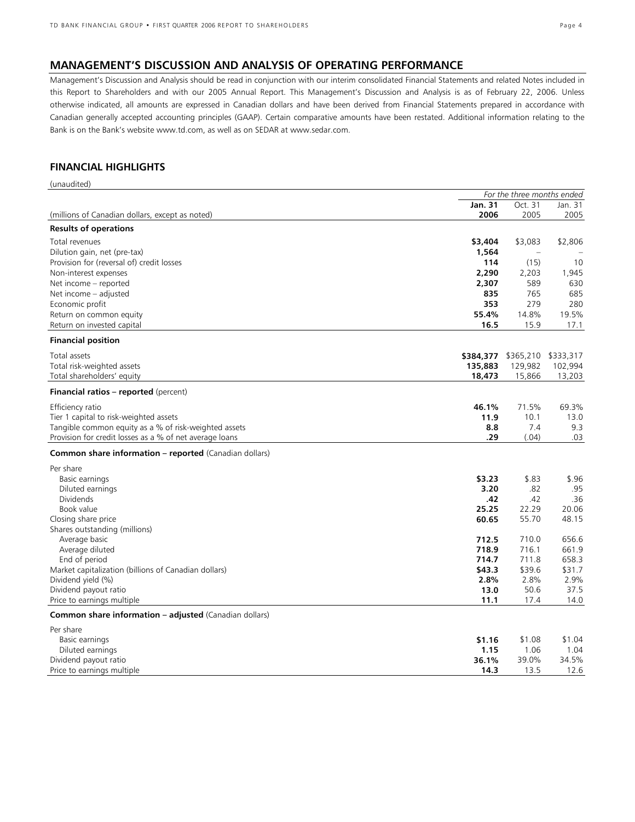## **MANAGEMENT'S DISCUSSION AND ANALYSIS OF OPERATING PERFORMANCE**

Management's Discussion and Analysis should be read in conjunction with our interim consolidated Financial Statements and related Notes included in this Report to Shareholders and with our 2005 Annual Report. This Management's Discussion and Analysis is as of February 22, 2006. Unless otherwise indicated, all amounts are expressed in Canadian dollars and have been derived from Financial Statements prepared in accordance with Canadian generally accepted accounting principles (GAAP). Certain comparative amounts have been restated. Additional information relating to the Bank is on the Bank's website www.td.com, as well as on SEDAR at www.sedar.com.

## **FINANCIAL HIGHLIGHTS**

| (unaudited)                                                   |                            |           |           |
|---------------------------------------------------------------|----------------------------|-----------|-----------|
|                                                               | For the three months ended |           |           |
|                                                               | Jan. 31                    | Oct. 31   | Jan. 31   |
| (millions of Canadian dollars, except as noted)               | 2006                       | 2005      | 2005      |
| <b>Results of operations</b>                                  |                            |           |           |
| Total revenues                                                | \$3,404                    | \$3,083   | \$2,806   |
| Dilution gain, net (pre-tax)                                  | 1,564                      | $\equiv$  |           |
| Provision for (reversal of) credit losses                     | 114                        | (15)      | 10        |
| Non-interest expenses                                         | 2,290                      | 2,203     | 1,945     |
| Net income - reported                                         | 2,307                      | 589       | 630       |
| Net income - adjusted                                         | 835                        | 765       | 685       |
| Economic profit                                               | 353                        | 279       | 280       |
| Return on common equity                                       | 55.4%                      | 14.8%     | 19.5%     |
| Return on invested capital                                    | 16.5                       | 15.9      | 17.1      |
| <b>Financial position</b>                                     |                            |           |           |
| Total assets                                                  | \$384,377                  | \$365,210 | \$333,317 |
| Total risk-weighted assets                                    | 135,883                    | 129,982   | 102,994   |
| Total shareholders' equity                                    | 18,473                     | 15,866    | 13,203    |
| <b>Financial ratios - reported</b> (percent)                  |                            |           |           |
| Efficiency ratio                                              | 46.1%                      | 71.5%     | 69.3%     |
| Tier 1 capital to risk-weighted assets                        | 11.9                       | 10.1      | 13.0      |
| Tangible common equity as a % of risk-weighted assets         | 8.8                        | 7.4       | 9.3       |
| Provision for credit losses as a % of net average loans       | .29                        | (.04)     | .03       |
| <b>Common share information - reported</b> (Canadian dollars) |                            |           |           |
|                                                               |                            |           |           |
| Per share<br>Basic earnings                                   | \$3.23                     | \$.83     | \$.96     |
| Diluted earnings                                              | 3.20                       | .82       | .95       |
| <b>Dividends</b>                                              | .42                        | .42       | .36       |
| Book value                                                    | 25.25                      | 22.29     | 20.06     |
| Closing share price                                           | 60.65                      | 55.70     | 48.15     |
| Shares outstanding (millions)                                 |                            |           |           |
| Average basic                                                 | 712.5                      | 710.0     | 656.6     |
| Average diluted                                               | 718.9                      | 716.1     | 661.9     |
| End of period                                                 | 714.7                      | 711.8     | 658.3     |
| Market capitalization (billions of Canadian dollars)          | \$43.3                     | \$39.6    | \$31.7    |
| Dividend yield (%)                                            | 2.8%                       | 2.8%      | 2.9%      |
| Dividend payout ratio                                         | 13.0                       | 50.6      | 37.5      |
| Price to earnings multiple                                    | 11.1                       | 17.4      | 14.0      |
| Common share information - adjusted (Canadian dollars)        |                            |           |           |
| Per share                                                     |                            |           |           |
| Basic earnings                                                | \$1.16                     | \$1.08    | \$1.04    |
| Diluted earnings                                              | 1.15                       | 1.06      | 1.04      |
| Dividend payout ratio                                         | 36.1%                      | 39.0%     | 34.5%     |
| Price to earnings multiple                                    | 14.3                       | 13.5      | 12.6      |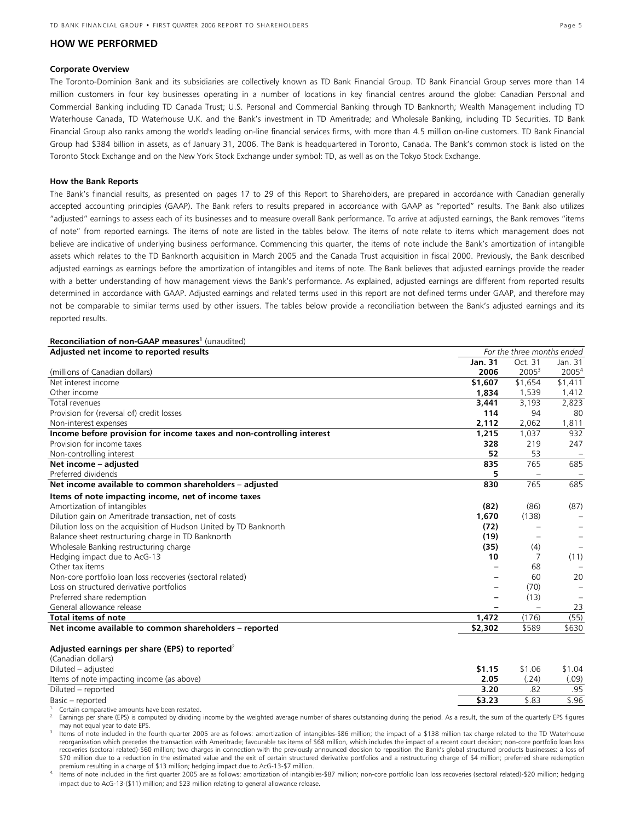## **HOW WE PERFORMED**

## **Corporate Overview**

The Toronto-Dominion Bank and its subsidiaries are collectively known as TD Bank Financial Group. TD Bank Financial Group serves more than 14 million customers in four key businesses operating in a number of locations in key financial centres around the globe: Canadian Personal and Commercial Banking including TD Canada Trust; U.S. Personal and Commercial Banking through TD Banknorth; Wealth Management including TD Waterhouse Canada, TD Waterhouse U.K. and the Bank's investment in TD Ameritrade; and Wholesale Banking, including TD Securities. TD Bank Financial Group also ranks among the world's leading on-line financial services firms, with more than 4.5 million on-line customers. TD Bank Financial Group had \$384 billion in assets, as of January 31, 2006. The Bank is headquartered in Toronto, Canada. The Bank's common stock is listed on the Toronto Stock Exchange and on the New York Stock Exchange under symbol: TD, as well as on the Tokyo Stock Exchange.

## **How the Bank Reports**

The Bank's financial results, as presented on pages 17 to 29 of this Report to Shareholders, are prepared in accordance with Canadian generally accepted accounting principles (GAAP). The Bank refers to results prepared in accordance with GAAP as "reported" results. The Bank also utilizes "adjusted" earnings to assess each of its businesses and to measure overall Bank performance. To arrive at adjusted earnings, the Bank removes "items of note" from reported earnings. The items of note are listed in the tables below. The items of note relate to items which management does not believe are indicative of underlying business performance. Commencing this quarter, the items of note include the Bank's amortization of intangible assets which relates to the TD Banknorth acquisition in March 2005 and the Canada Trust acquisition in fiscal 2000. Previously, the Bank described adjusted earnings as earnings before the amortization of intangibles and items of note. The Bank believes that adjusted earnings provide the reader with a better understanding of how management views the Bank's performance. As explained, adjusted earnings are different from reported results determined in accordance with GAAP. Adjusted earnings and related terms used in this report are not defined terms under GAAP, and therefore may not be comparable to similar terms used by other issuers. The tables below provide a reconciliation between the Bank's adjusted earnings and its reported results.

# **Reconciliation of non-GAAP measures<sup>1</sup>** (unaudited)

| Adjusted net income to reported results                               |         | For the three months ended |         |
|-----------------------------------------------------------------------|---------|----------------------------|---------|
|                                                                       | Jan. 31 | Oct. 31                    | Jan. 31 |
| (millions of Canadian dollars)                                        | 2006    | $2005^3$                   | 20054   |
| Net interest income                                                   | \$1,607 | \$1,654                    | \$1,411 |
| Other income                                                          | 1.834   | 1,539                      | 1,412   |
| Total revenues                                                        | 3,441   | 3,193                      | 2,823   |
| Provision for (reversal of) credit losses                             | 114     | 94                         | 80      |
| Non-interest expenses                                                 | 2,112   | 2,062                      | 1,811   |
| Income before provision for income taxes and non-controlling interest | 1,215   | 1,037                      | 932     |
| Provision for income taxes                                            | 328     | 219                        | 247     |
| Non-controlling interest                                              | 52      | 53                         |         |
| Net income - adjusted                                                 | 835     | 765                        | 685     |
| Preferred dividends                                                   | 5       |                            |         |
| Net income available to common shareholders - adjusted                | 830     | 765                        | 685     |
| Items of note impacting income, net of income taxes                   |         |                            |         |
| Amortization of intangibles                                           | (82)    | (86)                       | (87)    |
| Dilution gain on Ameritrade transaction, net of costs                 | 1,670   | (138)                      |         |
| Dilution loss on the acquisition of Hudson United by TD Banknorth     | (72)    |                            |         |
| Balance sheet restructuring charge in TD Banknorth                    | (19)    |                            |         |
| Wholesale Banking restructuring charge                                | (35)    | (4)                        |         |
| Hedging impact due to AcG-13                                          | 10      |                            | (11)    |
| Other tax items                                                       |         | 68                         |         |
| Non-core portfolio loan loss recoveries (sectoral related)            |         | 60                         | 20      |
| Loss on structured derivative portfolios                              |         | (70)                       |         |
| Preferred share redemption                                            |         | (13)                       |         |
| General allowance release                                             |         |                            | 23      |
| Total items of note                                                   | 1.472   | (176)                      | (55)    |
| Net income available to common shareholders - reported                | \$2,302 | \$589                      | \$630   |
|                                                                       |         |                            |         |

## **Adjusted earnings per share (EPS) to reported**<sup>2</sup>

| (Canadian dollars)                        |        |        |        |
|-------------------------------------------|--------|--------|--------|
| Diluted – adjusted                        | \$1.15 | \$1.06 | \$1.04 |
| Items of note impacting income (as above) | 2.05   | .24)   | .09)   |
| Diluted – reported                        | 3.20   |        | .95    |
| Basic – reported                          | \$3.23 | \$.83  | \$.96  |

<sup>1.</sup> Certain comparative amounts have been restated.<br><sup>2.</sup> Earnings per share (EPS) is computed by dividing income by the weighted average number of shares outstanding during the period. As a result, the sum of the quarterl may not equal year to date EPS.<br>Items of note included in the fourth quarter 2005 are as follows: amortization of intangibles-\$86 million; the impact of a \$138 million tax charge related to the TD Waterhouse

reorganization which precedes the transaction with Ameritrade; favourable tax items of \$68 million, which includes the impact of a recent court decision; non-core portfolio loan loss recoveries (sectoral related)-\$60 million; two charges in connection with the previously announced decision to reposition the Bank's global structured products businesses: a loss of \$70 million due to a reduction in the estimated value and the exit of certain structured derivative portfolios and a restructuring charge of \$4 million; preferred share redemption premium resulting in a charge of \$13 million; hedging impact due to AcG-13-\$7 million.<br>Items of note included in the first quarter 2005 are as follows: amortization of intangibles-\$87 million; non-core portfolio loan loss

impact due to AcG-13-(\$11) million; and \$23 million relating to general allowance release. .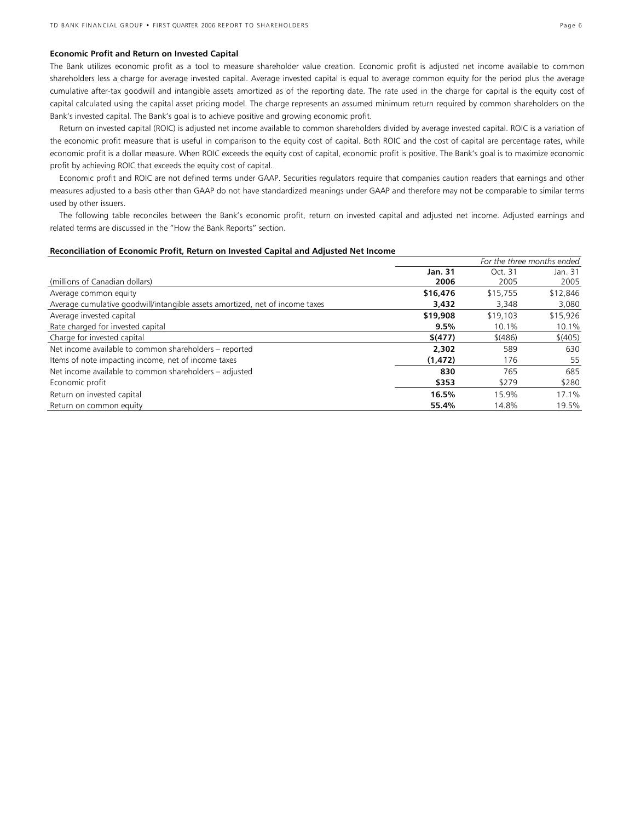#### **Economic Profit and Return on Invested Capital**

The Bank utilizes economic profit as a tool to measure shareholder value creation. Economic profit is adjusted net income available to common shareholders less a charge for average invested capital. Average invested capital is equal to average common equity for the period plus the average cumulative after-tax goodwill and intangible assets amortized as of the reporting date. The rate used in the charge for capital is the equity cost of capital calculated using the capital asset pricing model. The charge represents an assumed minimum return required by common shareholders on the Bank's invested capital. The Bank's goal is to achieve positive and growing economic profit.

 Return on invested capital (ROIC) is adjusted net income available to common shareholders divided by average invested capital. ROIC is a variation of the economic profit measure that is useful in comparison to the equity cost of capital. Both ROIC and the cost of capital are percentage rates, while economic profit is a dollar measure. When ROIC exceeds the equity cost of capital, economic profit is positive. The Bank's goal is to maximize economic profit by achieving ROIC that exceeds the equity cost of capital.

Economic profit and ROIC are not defined terms under GAAP. Securities regulators require that companies caution readers that earnings and other measures adjusted to a basis other than GAAP do not have standardized meanings under GAAP and therefore may not be comparable to similar terms used by other issuers.

The following table reconciles between the Bank's economic profit, return on invested capital and adjusted net income. Adjusted earnings and related terms are discussed in the "How the Bank Reports" section.

#### **Reconciliation of Economic Profit, Return on Invested Capital and Adjusted Net Income**

|                                                                              |          | For the three months ended |          |
|------------------------------------------------------------------------------|----------|----------------------------|----------|
|                                                                              | Jan. 31  | Oct. 31                    | Jan. 31  |
| (millions of Canadian dollars)                                               | 2006     | 2005                       | 2005     |
| Average common equity                                                        | \$16,476 | \$15,755                   | \$12,846 |
| Average cumulative goodwill/intangible assets amortized, net of income taxes | 3,432    | 3,348                      | 3,080    |
| Average invested capital                                                     | \$19,908 | \$19,103                   | \$15,926 |
| Rate charged for invested capital                                            | 9.5%     | 10.1%                      | 10.1%    |
| Charge for invested capital                                                  | \$(477)  | $$^{(486)}$                | \$(405)  |
| Net income available to common shareholders - reported                       | 2,302    | 589                        | 630      |
| Items of note impacting income, net of income taxes                          | (1, 472) | 176                        | 55       |
| Net income available to common shareholders – adjusted                       | 830      | 765                        | 685      |
| Economic profit                                                              | \$353    | \$279                      | \$280    |
| Return on invested capital                                                   | 16.5%    | 15.9%                      | 17.1%    |
| Return on common equity                                                      | 55.4%    | 14.8%                      | 19.5%    |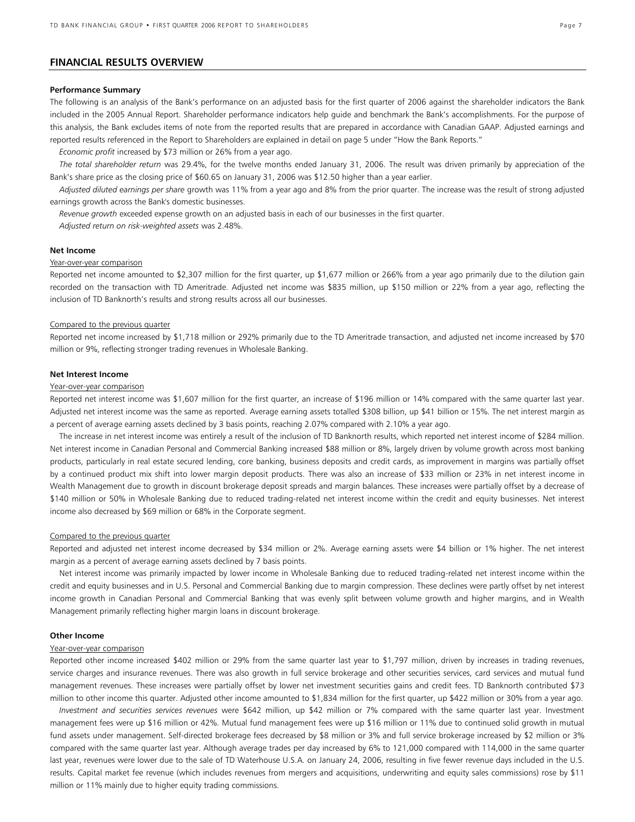## **FINANCIAL RESULTS OVERVIEW**

#### **Performance Summary**

The following is an analysis of the Bank's performance on an adjusted basis for the first quarter of 2006 against the shareholder indicators the Bank included in the 2005 Annual Report. Shareholder performance indicators help guide and benchmark the Bank's accomplishments. For the purpose of this analysis, the Bank excludes items of note from the reported results that are prepared in accordance with Canadian GAAP. Adjusted earnings and reported results referenced in the Report to Shareholders are explained in detail on page 5 under "How the Bank Reports."

*Economic profit* increased by \$73 million or 26% from a year ago.

*The total shareholder return* was 29.4%, for the twelve months ended January 31, 2006. The result was driven primarily by appreciation of the Bank's share price as the closing price of \$60.65 on January 31, 2006 was \$12.50 higher than a year earlier.

*Adjusted diluted earnings per share* growth was 11% from a year ago and 8% from the prior quarter. The increase was the result of strong adjusted earnings growth across the Bank's domestic businesses.

*Revenue growth* exceeded expense growth on an adjusted basis in each of our businesses in the first quarter. *Adjusted return on risk-weighted assets* was 2.48%.

## **Net Income**

#### Year-over-year comparison

Reported net income amounted to \$2,307 million for the first quarter, up \$1,677 million or 266% from a year ago primarily due to the dilution gain recorded on the transaction with TD Ameritrade. Adjusted net income was \$835 million, up \$150 million or 22% from a year ago, reflecting the inclusion of TD Banknorth's results and strong results across all our businesses.

## Compared to the previous quarter

Reported net income increased by \$1,718 million or 292% primarily due to the TD Ameritrade transaction, and adjusted net income increased by \$70 million or 9%, reflecting stronger trading revenues in Wholesale Banking.

## **Net Interest Income**

## Year-over-year comparison

Reported net interest income was \$1,607 million for the first quarter, an increase of \$196 million or 14% compared with the same quarter last year. Adjusted net interest income was the same as reported. Average earning assets totalled \$308 billion, up \$41 billion or 15%. The net interest margin as a percent of average earning assets declined by 3 basis points, reaching 2.07% compared with 2.10% a year ago.

The increase in net interest income was entirely a result of the inclusion of TD Banknorth results, which reported net interest income of \$284 million. Net interest income in Canadian Personal and Commercial Banking increased \$88 million or 8%, largely driven by volume growth across most banking products, particularly in real estate secured lending, core banking, business deposits and credit cards, as improvement in margins was partially offset by a continued product mix shift into lower margin deposit products. There was also an increase of \$33 million or 23% in net interest income in Wealth Management due to growth in discount brokerage deposit spreads and margin balances. These increases were partially offset by a decrease of \$140 million or 50% in Wholesale Banking due to reduced trading-related net interest income within the credit and equity businesses. Net interest income also decreased by \$69 million or 68% in the Corporate segment.

## Compared to the previous quarter

Reported and adjusted net interest income decreased by \$34 million or 2%. Average earning assets were \$4 billion or 1% higher. The net interest margin as a percent of average earning assets declined by 7 basis points.

Net interest income was primarily impacted by lower income in Wholesale Banking due to reduced trading-related net interest income within the credit and equity businesses and in U.S. Personal and Commercial Banking due to margin compression. These declines were partly offset by net interest income growth in Canadian Personal and Commercial Banking that was evenly split between volume growth and higher margins, and in Wealth Management primarily reflecting higher margin loans in discount brokerage.

## **Other Income**

#### Year-over-year comparison

Reported other income increased \$402 million or 29% from the same quarter last year to \$1,797 million, driven by increases in trading revenues, service charges and insurance revenues. There was also growth in full service brokerage and other securities services, card services and mutual fund management revenues. These increases were partially offset by lower net investment securities gains and credit fees. TD Banknorth contributed \$73 million to other income this quarter. Adjusted other income amounted to \$1,834 million for the first quarter, up \$422 million or 30% from a year ago.

*Investment and securities services revenues* were \$642 million, up \$42 million or 7% compared with the same quarter last year. Investment management fees were up \$16 million or 42%. Mutual fund management fees were up \$16 million or 11% due to continued solid growth in mutual fund assets under management. Self-directed brokerage fees decreased by \$8 million or 3% and full service brokerage increased by \$2 million or 3% compared with the same quarter last year. Although average trades per day increased by 6% to 121,000 compared with 114,000 in the same quarter last year, revenues were lower due to the sale of TD Waterhouse U.S.A. on January 24, 2006, resulting in five fewer revenue days included in the U.S. results. Capital market fee revenue (which includes revenues from mergers and acquisitions, underwriting and equity sales commissions) rose by \$11 million or 11% mainly due to higher equity trading commissions.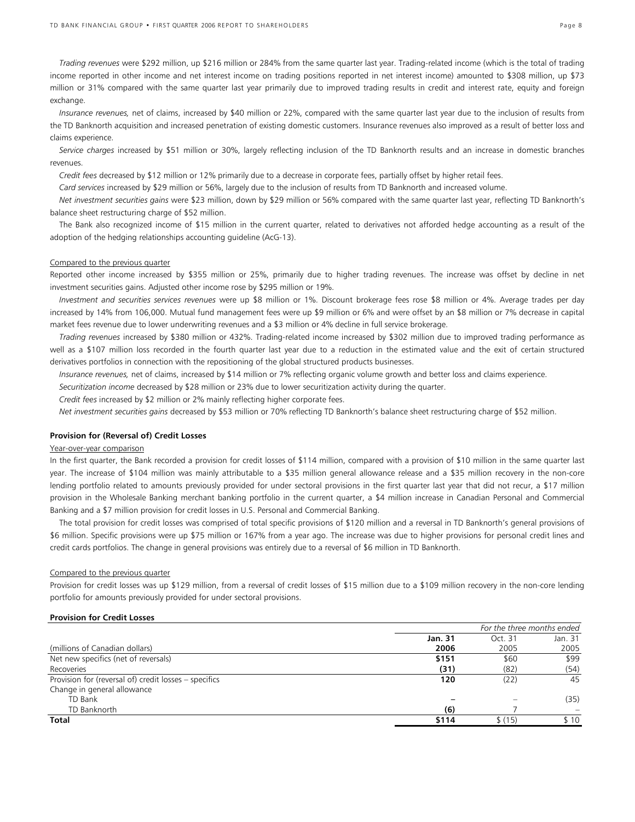*Trading revenues* were \$292 million, up \$216 million or 284% from the same quarter last year. Trading-related income (which is the total of trading income reported in other income and net interest income on trading positions reported in net interest income) amounted to \$308 million, up \$73 million or 31% compared with the same quarter last year primarily due to improved trading results in credit and interest rate, equity and foreign exchange.

*Insurance revenues,* net of claims, increased by \$40 million or 22%, compared with the same quarter last year due to the inclusion of results from the TD Banknorth acquisition and increased penetration of existing domestic customers. Insurance revenues also improved as a result of better loss and claims experience.

*Service charges* increased by \$51 million or 30%, largely reflecting inclusion of the TD Banknorth results and an increase in domestic branches revenues.

*Credit fees* decreased by \$12 million or 12% primarily due to a decrease in corporate fees, partially offset by higher retail fees.

*Card services* increased by \$29 million or 56%, largely due to the inclusion of results from TD Banknorth and increased volume.

*Net investment securities gains* were \$23 million, down by \$29 million or 56% compared with the same quarter last year, reflecting TD Banknorth's balance sheet restructuring charge of \$52 million.

The Bank also recognized income of \$15 million in the current quarter, related to derivatives not afforded hedge accounting as a result of the adoption of the hedging relationships accounting guideline (AcG-13).

#### Compared to the previous quarter

Reported other income increased by \$355 million or 25%, primarily due to higher trading revenues. The increase was offset by decline in net investment securities gains. Adjusted other income rose by \$295 million or 19%.

*Investment and securities services revenues* were up \$8 million or 1%. Discount brokerage fees rose \$8 million or 4%. Average trades per day increased by 14% from 106,000. Mutual fund management fees were up \$9 million or 6% and were offset by an \$8 million or 7% decrease in capital market fees revenue due to lower underwriting revenues and a \$3 million or 4% decline in full service brokerage.

*Trading revenues* increased by \$380 million or 432%. Trading-related income increased by \$302 million due to improved trading performance as well as a \$107 million loss recorded in the fourth quarter last year due to a reduction in the estimated value and the exit of certain structured derivatives portfolios in connection with the repositioning of the global structured products businesses.

*Insurance revenues,* net of claims, increased by \$14 million or 7% reflecting organic volume growth and better loss and claims experience.

*Securitization income* decreased by \$28 million or 23% due to lower securitization activity during the quarter.

*Credit fees* increased by \$2 million or 2% mainly reflecting higher corporate fees.

*Net investment securities gains* decreased by \$53 million or 70% reflecting TD Banknorth's balance sheet restructuring charge of \$52 million.

## **Provision for (Reversal of) Credit Losses**

## Year-over-year comparison

In the first quarter, the Bank recorded a provision for credit losses of \$114 million, compared with a provision of \$10 million in the same quarter last year. The increase of \$104 million was mainly attributable to a \$35 million general allowance release and a \$35 million recovery in the non-core lending portfolio related to amounts previously provided for under sectoral provisions in the first quarter last year that did not recur, a \$17 million provision in the Wholesale Banking merchant banking portfolio in the current quarter, a \$4 million increase in Canadian Personal and Commercial Banking and a \$7 million provision for credit losses in U.S. Personal and Commercial Banking.

The total provision for credit losses was comprised of total specific provisions of \$120 million and a reversal in TD Banknorth's general provisions of \$6 million. Specific provisions were up \$75 million or 167% from a year ago. The increase was due to higher provisions for personal credit lines and credit cards portfolios. The change in general provisions was entirely due to a reversal of \$6 million in TD Banknorth.

#### Compared to the previous quarter

Provision for credit losses was up \$129 million, from a reversal of credit losses of \$15 million due to a \$109 million recovery in the non-core lending portfolio for amounts previously provided for under sectoral provisions.

## **Provision for Credit Losses**

|                                                       | For the three months ended |         |         |  |
|-------------------------------------------------------|----------------------------|---------|---------|--|
|                                                       | <b>Jan. 31</b>             | Oct. 31 | Jan. 31 |  |
| (millions of Canadian dollars)                        | 2006                       | 2005    | 2005    |  |
| Net new specifics (net of reversals)                  | \$151                      | \$60    | \$99    |  |
| Recoveries                                            | (31)                       | (82)    | (54)    |  |
| Provision for (reversal of) credit losses – specifics | 120                        | (22)    | -45     |  |
| Change in general allowance                           |                            |         |         |  |
| TD Bank                                               |                            |         | (35)    |  |
| TD Banknorth                                          | (6)                        |         |         |  |
| Total                                                 | \$114                      | \$(15)  | \$10    |  |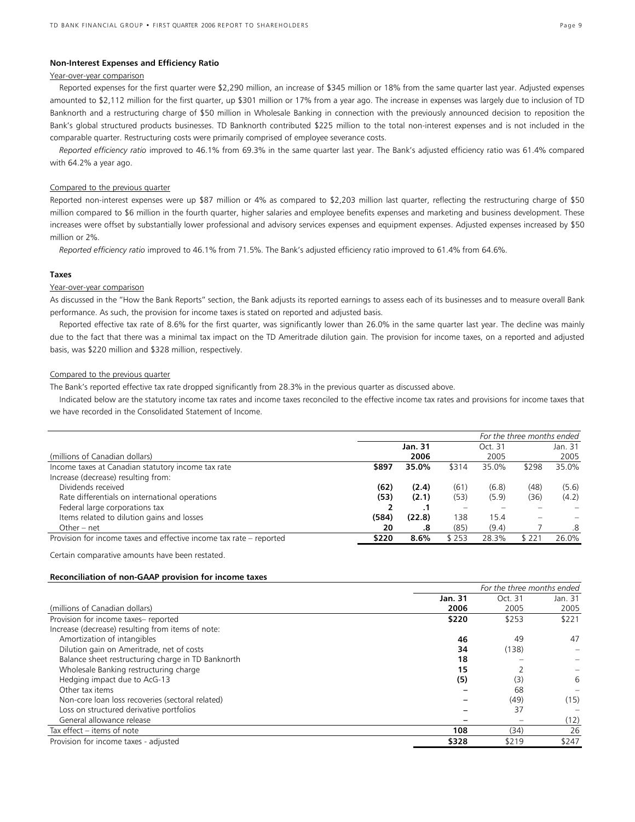## **Non-Interest Expenses and Efficiency Ratio**

## Year-over-year comparison

Reported expenses for the first quarter were \$2,290 million, an increase of \$345 million or 18% from the same quarter last year. Adjusted expenses amounted to \$2,112 million for the first quarter, up \$301 million or 17% from a year ago. The increase in expenses was largely due to inclusion of TD Banknorth and a restructuring charge of \$50 million in Wholesale Banking in connection with the previously announced decision to reposition the Bank's global structured products businesses. TD Banknorth contributed \$225 million to the total non-interest expenses and is not included in the comparable quarter. Restructuring costs were primarily comprised of employee severance costs.

*Reported efficiency ratio* improved to 46.1% from 69.3% in the same quarter last year. The Bank's adjusted efficiency ratio was 61.4% compared with 64.2% a year ago.

## Compared to the previous quarter

Reported non-interest expenses were up \$87 million or 4% as compared to \$2,203 million last quarter, reflecting the restructuring charge of \$50 million compared to \$6 million in the fourth quarter, higher salaries and employee benefits expenses and marketing and business development. These increases were offset by substantially lower professional and advisory services expenses and equipment expenses. Adjusted expenses increased by \$50 million or 2%.

*Reported efficiency ratio* improved to 46.1% from 71.5%. The Bank's adjusted efficiency ratio improved to 61.4% from 64.6%.

## **Taxes**

### Year-over-year comparison

As discussed in the "How the Bank Reports" section, the Bank adjusts its reported earnings to assess each of its businesses and to measure overall Bank performance. As such, the provision for income taxes is stated on reported and adjusted basis.

Reported effective tax rate of 8.6% for the first quarter, was significantly lower than 26.0% in the same quarter last year. The decline was mainly due to the fact that there was a minimal tax impact on the TD Ameritrade dilution gain. The provision for income taxes, on a reported and adjusted basis, was \$220 million and \$328 million, respectively.

## Compared to the previous quarter

The Bank's reported effective tax rate dropped significantly from 28.3% in the previous quarter as discussed above.

Indicated below are the statutory income tax rates and income taxes reconciled to the effective income tax rates and provisions for income taxes that we have recorded in the Consolidated Statement of Income.

|                                                                     |       |                |       |         | For the three months ended |         |
|---------------------------------------------------------------------|-------|----------------|-------|---------|----------------------------|---------|
|                                                                     |       | <b>Jan. 31</b> |       | Oct. 31 |                            | Jan. 31 |
| (millions of Canadian dollars)                                      |       | 2006           |       | 2005    |                            | 2005    |
| Income taxes at Canadian statutory income tax rate                  | \$897 | 35.0%          | \$314 | 35.0%   | \$298                      | 35.0%   |
| Increase (decrease) resulting from:                                 |       |                |       |         |                            |         |
| Dividends received                                                  | (62)  | (2.4)          | (61)  | (6.8)   | (48)                       | (5.6)   |
| Rate differentials on international operations                      | (53)  | (2.1)          | (53)  | (5.9)   | (36)                       | (4.2)   |
| Federal large corporations tax                                      |       |                |       |         |                            |         |
| Items related to dilution gains and losses                          | (584) | (22.8)         | 138   | 15.4    |                            |         |
| Other $-$ net                                                       | 20    | .8             | (85)  | (9.4)   |                            | .8      |
| Provision for income taxes and effective income tax rate – reported | \$220 | 8.6%           | \$253 | 28.3%   | \$221                      | 26.0%   |

Certain comparative amounts have been restated.

## **Reconciliation of non-GAAP provision for income taxes**

|                                                    |                | For the three months ended |         |  |
|----------------------------------------------------|----------------|----------------------------|---------|--|
|                                                    | <b>Jan. 31</b> | Oct. 31                    | Jan. 31 |  |
| (millions of Canadian dollars)                     | 2006           | 2005                       | 2005    |  |
| Provision for income taxes- reported               | \$220          | \$253                      | \$221   |  |
| Increase (decrease) resulting from items of note:  |                |                            |         |  |
| Amortization of intangibles                        | 46             | 49                         | 47      |  |
| Dilution gain on Ameritrade, net of costs          | 34             | (138)                      |         |  |
| Balance sheet restructuring charge in TD Banknorth | 18             |                            |         |  |
| Wholesale Banking restructuring charge             | 15             |                            |         |  |
| Hedging impact due to AcG-13                       | (5)            | (3)                        | 6       |  |
| Other tax items                                    |                | 68                         |         |  |
| Non-core loan loss recoveries (sectoral related)   |                | (49)                       | (15)    |  |
| Loss on structured derivative portfolios           |                | 37                         |         |  |
| General allowance release                          |                |                            | (12)    |  |
| Tax effect - items of note                         | 108            | (34)                       | 26      |  |
| Provision for income taxes - adjusted              | \$328          | \$219                      | \$247   |  |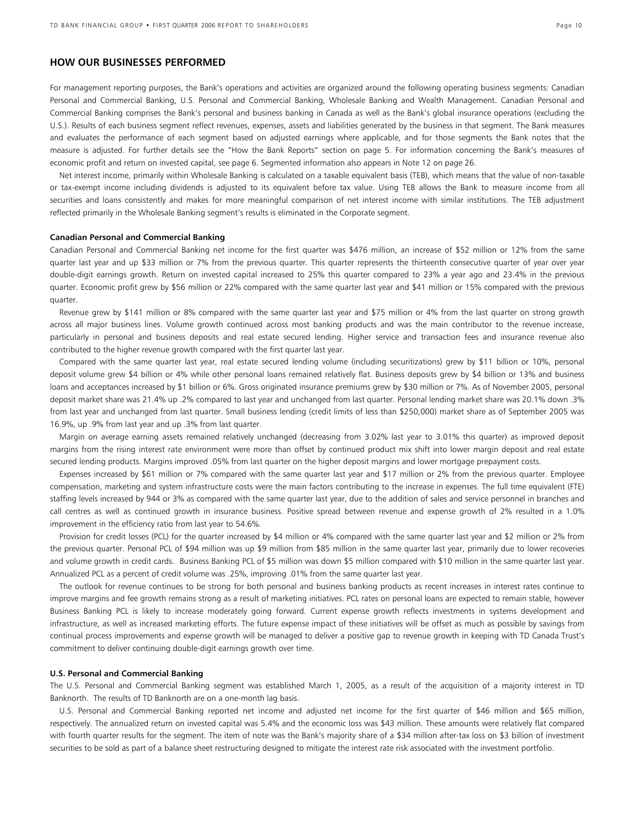## **HOW OUR BUSINESSES PERFORMED**

For management reporting purposes, the Bank's operations and activities are organized around the following operating business segments: Canadian Personal and Commercial Banking, U.S. Personal and Commercial Banking, Wholesale Banking and Wealth Management. Canadian Personal and Commercial Banking comprises the Bank's personal and business banking in Canada as well as the Bank's global insurance operations (excluding the U.S.). Results of each business segment reflect revenues, expenses, assets and liabilities generated by the business in that segment. The Bank measures and evaluates the performance of each segment based on adjusted earnings where applicable, and for those segments the Bank notes that the measure is adjusted. For further details see the "How the Bank Reports" section on page 5. For information concerning the Bank's measures of economic profit and return on invested capital, see page 6. Segmented information also appears in Note 12 on page 26.

 Net interest income, primarily within Wholesale Banking is calculated on a taxable equivalent basis (TEB), which means that the value of non-taxable or tax-exempt income including dividends is adjusted to its equivalent before tax value. Using TEB allows the Bank to measure income from all securities and loans consistently and makes for more meaningful comparison of net interest income with similar institutions. The TEB adjustment reflected primarily in the Wholesale Banking segment's results is eliminated in the Corporate segment.

#### **Canadian Personal and Commercial Banking**

Canadian Personal and Commercial Banking net income for the first quarter was \$476 million, an increase of \$52 million or 12% from the same quarter last year and up \$33 million or 7% from the previous quarter. This quarter represents the thirteenth consecutive quarter of year over year double-digit earnings growth. Return on invested capital increased to 25% this quarter compared to 23% a year ago and 23.4% in the previous quarter. Economic profit grew by \$56 million or 22% compared with the same quarter last year and \$41 million or 15% compared with the previous quarter.

Revenue grew by \$141 million or 8% compared with the same quarter last year and \$75 million or 4% from the last quarter on strong growth across all major business lines. Volume growth continued across most banking products and was the main contributor to the revenue increase, particularly in personal and business deposits and real estate secured lending. Higher service and transaction fees and insurance revenue also contributed to the higher revenue growth compared with the first quarter last year.

Compared with the same quarter last year, real estate secured lending volume (including securitizations) grew by \$11 billion or 10%, personal deposit volume grew \$4 billion or 4% while other personal loans remained relatively flat. Business deposits grew by \$4 billion or 13% and business loans and acceptances increased by \$1 billion or 6%. Gross originated insurance premiums grew by \$30 million or 7%. As of November 2005, personal deposit market share was 21.4% up .2% compared to last year and unchanged from last quarter. Personal lending market share was 20.1% down .3% from last year and unchanged from last quarter. Small business lending (credit limits of less than \$250,000) market share as of September 2005 was 16.9%, up .9% from last year and up .3% from last quarter.

Margin on average earning assets remained relatively unchanged (decreasing from 3.02% last year to 3.01% this quarter) as improved deposit margins from the rising interest rate environment were more than offset by continued product mix shift into lower margin deposit and real estate secured lending products. Margins improved .05% from last quarter on the higher deposit margins and lower mortgage prepayment costs.

Expenses increased by \$61 million or 7% compared with the same quarter last year and \$17 million or 2% from the previous quarter. Employee compensation, marketing and system infrastructure costs were the main factors contributing to the increase in expenses. The full time equivalent (FTE) staffing levels increased by 944 or 3% as compared with the same quarter last year, due to the addition of sales and service personnel in branches and call centres as well as continued growth in insurance business. Positive spread between revenue and expense growth of 2% resulted in a 1.0% improvement in the efficiency ratio from last year to 54.6%.

Provision for credit losses (PCL) for the quarter increased by \$4 million or 4% compared with the same quarter last year and \$2 million or 2% from the previous quarter. Personal PCL of \$94 million was up \$9 million from \$85 million in the same quarter last year, primarily due to lower recoveries and volume growth in credit cards. Business Banking PCL of \$5 million was down \$5 million compared with \$10 million in the same quarter last year. Annualized PCL as a percent of credit volume was .25%, improving .01% from the same quarter last year.

The outlook for revenue continues to be strong for both personal and business banking products as recent increases in interest rates continue to improve margins and fee growth remains strong as a result of marketing initiatives. PCL rates on personal loans are expected to remain stable, however Business Banking PCL is likely to increase moderately going forward. Current expense growth reflects investments in systems development and infrastructure, as well as increased marketing efforts. The future expense impact of these initiatives will be offset as much as possible by savings from continual process improvements and expense growth will be managed to deliver a positive gap to revenue growth in keeping with TD Canada Trust's commitment to deliver continuing double-digit earnings growth over time.

## **U.S. Personal and Commercial Banking**

The U.S. Personal and Commercial Banking segment was established March 1, 2005, as a result of the acquisition of a majority interest in TD Banknorth. The results of TD Banknorth are on a one-month lag basis.

U.S. Personal and Commercial Banking reported net income and adjusted net income for the first quarter of \$46 million and \$65 million, respectively. The annualized return on invested capital was 5.4% and the economic loss was \$43 million. These amounts were relatively flat compared with fourth quarter results for the segment. The item of note was the Bank's majority share of a \$34 million after-tax loss on \$3 billion of investment securities to be sold as part of a balance sheet restructuring designed to mitigate the interest rate risk associated with the investment portfolio.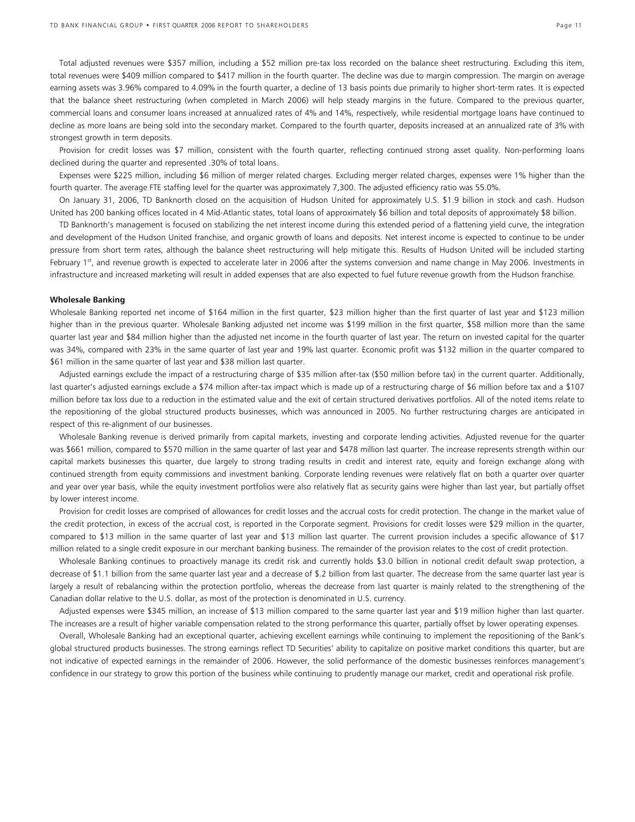Total adjusted revenues were \$357 million, including a \$52 million pre-tax loss recorded on the balance sheet restructuring. Excluding this item, total revenues were \$409 million compared to \$417 million in the fourth quarter. The decline was due to margin compression. The margin on average earning assets was 3.96% compared to 4.09% in the fourth quarter, a decline of 13 basis points due primarily to higher short-term rates. It is expected that the balance sheet restructuring (when completed in March 2006) will help steady margins in the future. Compared to the previous quarter, commercial loans and consumer loans increased at annualized rates of 4% and 14%, respectively, while residential mortgage loans have continued to decline as more loans are being sold into the secondary market. Compared to the fourth quarter, deposits increased at an annualized rate of 3% with strongest growth in term deposits.

Provision for credit losses was \$7 million, consistent with the fourth quarter, reflecting continued strong asset quality. Non-performing loans declined during the quarter and represented .30% of total loans.

Expenses were \$225 million, including \$6 million of merger related charges. Excluding merger related charges, expenses were 1% higher than the fourth quarter. The average FTE staffing level for the quarter was approximately 7,300. The adjusted efficiency ratio was 55.0%.

On January 31, 2006, TD Banknorth closed on the acquisition of Hudson United for approximately U.S. \$1.9 billion in stock and cash. Hudson United has 200 banking offices located in 4 Mid-Atlantic states, total loans of approximately \$6 billion and total deposits of approximately \$8 billion.

TD Banknorth's management is focused on stabilizing the net interest income during this extended period of a flattening yield curve, the integration and development of the Hudson United franchise, and organic growth of loans and deposits. Net interest income is expected to continue to be under pressure from short term rates, although the balance sheet restructuring will help mitigate this. Results of Hudson United will be included starting February 1<sup>st</sup>, and revenue growth is expected to accelerate later in 2006 after the systems conversion and name change in May 2006. Investments in infrastructure and increased marketing will result in added expenses that are also expected to fuel future revenue growth from the Hudson franchise.

#### **Wholesale Banking**

Wholesale Banking reported net income of \$164 million in the first quarter, \$23 million higher than the first quarter of last year and \$123 million higher than in the previous quarter. Wholesale Banking adjusted net income was \$199 million in the first quarter, \$58 million more than the same quarter last year and \$84 million higher than the adjusted net income in the fourth quarter of last year. The return on invested capital for the quarter was 34%, compared with 23% in the same quarter of last year and 19% last quarter. Economic profit was \$132 million in the quarter compared to \$61 million in the same quarter of last year and \$38 million last quarter.

Adjusted earnings exclude the impact of a restructuring charge of \$35 million after-tax (\$50 million before tax) in the current quarter. Additionally, last quarter's adjusted earnings exclude a \$74 million after-tax impact which is made up of a restructuring charge of \$6 million before tax and a \$107 million before tax loss due to a reduction in the estimated value and the exit of certain structured derivatives portfolios. All of the noted items relate to the repositioning of the global structured products businesses, which was announced in 2005. No further restructuring charges are anticipated in respect of this re-alignment of our businesses.

Wholesale Banking revenue is derived primarily from capital markets, investing and corporate lending activities. Adjusted revenue for the quarter was \$661 million, compared to \$570 million in the same quarter of last year and \$478 million last quarter. The increase represents strength within our capital markets businesses this quarter, due largely to strong trading results in credit and interest rate, equity and foreign exchange along with continued strength from equity commissions and investment banking. Corporate lending revenues were relatively flat on both a quarter over quarter and year over year basis, while the equity investment portfolios were also relatively flat as security gains were higher than last year, but partially offset by lower interest income.

Provision for credit losses are comprised of allowances for credit losses and the accrual costs for credit protection. The change in the market value of the credit protection, in excess of the accrual cost, is reported in the Corporate segment. Provisions for credit losses were \$29 million in the quarter, compared to \$13 million in the same quarter of last year and \$13 million last quarter. The current provision includes a specific allowance of \$17 million related to a single credit exposure in our merchant banking business. The remainder of the provision relates to the cost of credit protection.

Wholesale Banking continues to proactively manage its credit risk and currently holds \$3.0 billion in notional credit default swap protection, a decrease of \$1.1 billion from the same quarter last year and a decrease of \$.2 billion from last quarter. The decrease from the same quarter last year is largely a result of rebalancing within the protection portfolio, whereas the decrease from last quarter is mainly related to the strengthening of the Canadian dollar relative to the U.S. dollar, as most of the protection is denominated in U.S. currency.

Adjusted expenses were \$345 million, an increase of \$13 million compared to the same quarter last year and \$19 million higher than last quarter. The increases are a result of higher variable compensation related to the strong performance this quarter, partially offset by lower operating expenses.

Overall, Wholesale Banking had an exceptional quarter, achieving excellent earnings while continuing to implement the repositioning of the Bank's global structured products businesses. The strong earnings reflect TD Securities' ability to capitalize on positive market conditions this quarter, but are not indicative of expected earnings in the remainder of 2006. However, the solid performance of the domestic businesses reinforces management's confidence in our strategy to grow this portion of the business while continuing to prudently manage our market, credit and operational risk profile.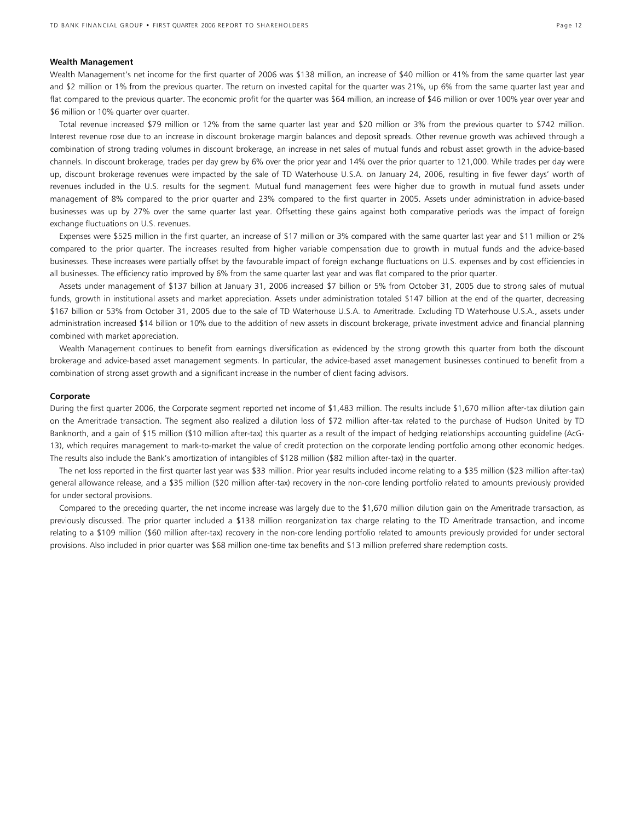#### **Wealth Management**

Wealth Management's net income for the first quarter of 2006 was \$138 million, an increase of \$40 million or 41% from the same quarter last year and \$2 million or 1% from the previous quarter. The return on invested capital for the quarter was 21%, up 6% from the same quarter last year and flat compared to the previous quarter. The economic profit for the quarter was \$64 million, an increase of \$46 million or over 100% year over year and \$6 million or 10% quarter over quarter.

Total revenue increased \$79 million or 12% from the same quarter last year and \$20 million or 3% from the previous quarter to \$742 million. Interest revenue rose due to an increase in discount brokerage margin balances and deposit spreads. Other revenue growth was achieved through a combination of strong trading volumes in discount brokerage, an increase in net sales of mutual funds and robust asset growth in the advice-based channels. In discount brokerage, trades per day grew by 6% over the prior year and 14% over the prior quarter to 121,000. While trades per day were up, discount brokerage revenues were impacted by the sale of TD Waterhouse U.S.A. on January 24, 2006, resulting in five fewer days' worth of revenues included in the U.S. results for the segment. Mutual fund management fees were higher due to growth in mutual fund assets under management of 8% compared to the prior quarter and 23% compared to the first quarter in 2005. Assets under administration in advice-based businesses was up by 27% over the same quarter last year. Offsetting these gains against both comparative periods was the impact of foreign exchange fluctuations on U.S. revenues.

Expenses were \$525 million in the first quarter, an increase of \$17 million or 3% compared with the same quarter last year and \$11 million or 2% compared to the prior quarter. The increases resulted from higher variable compensation due to growth in mutual funds and the advice-based businesses. These increases were partially offset by the favourable impact of foreign exchange fluctuations on U.S. expenses and by cost efficiencies in all businesses. The efficiency ratio improved by 6% from the same quarter last year and was flat compared to the prior quarter.

Assets under management of \$137 billion at January 31, 2006 increased \$7 billion or 5% from October 31, 2005 due to strong sales of mutual funds, growth in institutional assets and market appreciation. Assets under administration totaled \$147 billion at the end of the quarter, decreasing \$167 billion or 53% from October 31, 2005 due to the sale of TD Waterhouse U.S.A. to Ameritrade. Excluding TD Waterhouse U.S.A., assets under administration increased \$14 billion or 10% due to the addition of new assets in discount brokerage, private investment advice and financial planning combined with market appreciation.

Wealth Management continues to benefit from earnings diversification as evidenced by the strong growth this quarter from both the discount brokerage and advice-based asset management segments. In particular, the advice-based asset management businesses continued to benefit from a combination of strong asset growth and a significant increase in the number of client facing advisors.

#### **Corporate**

During the first quarter 2006, the Corporate segment reported net income of \$1,483 million. The results include \$1,670 million after-tax dilution gain on the Ameritrade transaction. The segment also realized a dilution loss of \$72 million after-tax related to the purchase of Hudson United by TD Banknorth, and a gain of \$15 million (\$10 million after-tax) this quarter as a result of the impact of hedging relationships accounting guideline (AcG-13), which requires management to mark-to-market the value of credit protection on the corporate lending portfolio among other economic hedges. The results also include the Bank's amortization of intangibles of \$128 million (\$82 million after-tax) in the quarter.

The net loss reported in the first quarter last year was \$33 million. Prior year results included income relating to a \$35 million (\$23 million after-tax) general allowance release, and a \$35 million (\$20 million after-tax) recovery in the non-core lending portfolio related to amounts previously provided for under sectoral provisions.

Compared to the preceding quarter, the net income increase was largely due to the \$1,670 million dilution gain on the Ameritrade transaction, as previously discussed. The prior quarter included a \$138 million reorganization tax charge relating to the TD Ameritrade transaction, and income relating to a \$109 million (\$60 million after-tax) recovery in the non-core lending portfolio related to amounts previously provided for under sectoral provisions. Also included in prior quarter was \$68 million one-time tax benefits and \$13 million preferred share redemption costs.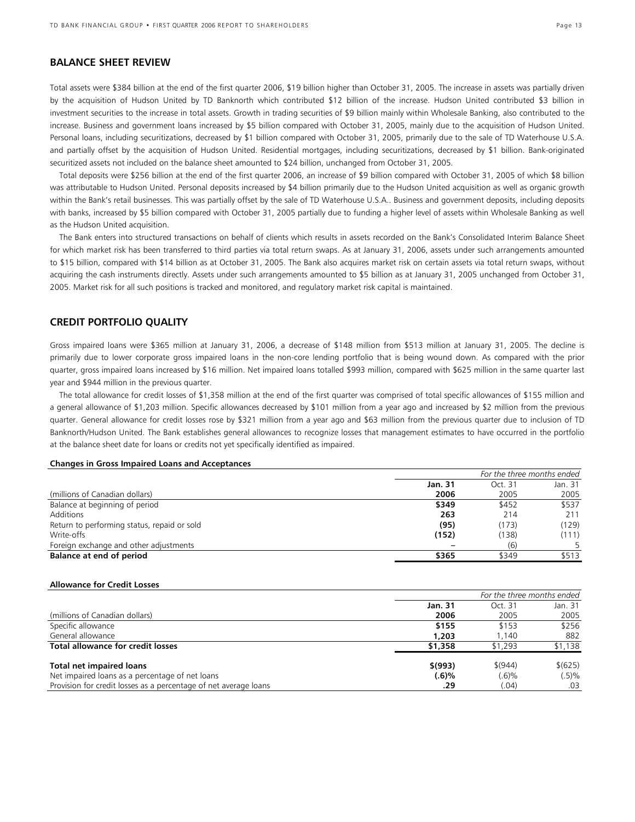## **BALANCE SHEET REVIEW**

Total assets were \$384 billion at the end of the first quarter 2006, \$19 billion higher than October 31, 2005. The increase in assets was partially driven by the acquisition of Hudson United by TD Banknorth which contributed \$12 billion of the increase. Hudson United contributed \$3 billion in investment securities to the increase in total assets. Growth in trading securities of \$9 billion mainly within Wholesale Banking, also contributed to the increase. Business and government loans increased by \$5 billion compared with October 31, 2005, mainly due to the acquisition of Hudson United. Personal loans, including securitizations, decreased by \$1 billion compared with October 31, 2005, primarily due to the sale of TD Waterhouse U.S.A. and partially offset by the acquisition of Hudson United. Residential mortgages, including securitizations, decreased by \$1 billion. Bank-originated securitized assets not included on the balance sheet amounted to \$24 billion, unchanged from October 31, 2005.

 Total deposits were \$256 billion at the end of the first quarter 2006, an increase of \$9 billion compared with October 31, 2005 of which \$8 billion was attributable to Hudson United. Personal deposits increased by \$4 billion primarily due to the Hudson United acquisition as well as organic growth within the Bank's retail businesses. This was partially offset by the sale of TD Waterhouse U.S.A.. Business and government deposits, including deposits with banks, increased by \$5 billion compared with October 31, 2005 partially due to funding a higher level of assets within Wholesale Banking as well as the Hudson United acquisition.

 The Bank enters into structured transactions on behalf of clients which results in assets recorded on the Bank's Consolidated Interim Balance Sheet for which market risk has been transferred to third parties via total return swaps. As at January 31, 2006, assets under such arrangements amounted to \$15 billion, compared with \$14 billion as at October 31, 2005. The Bank also acquires market risk on certain assets via total return swaps, without acquiring the cash instruments directly. Assets under such arrangements amounted to \$5 billion as at January 31, 2005 unchanged from October 31, 2005. Market risk for all such positions is tracked and monitored, and regulatory market risk capital is maintained.

## **CREDIT PORTFOLIO QUALITY**

Gross impaired loans were \$365 million at January 31, 2006, a decrease of \$148 million from \$513 million at January 31, 2005. The decline is primarily due to lower corporate gross impaired loans in the non-core lending portfolio that is being wound down. As compared with the prior quarter, gross impaired loans increased by \$16 million. Net impaired loans totalled \$993 million, compared with \$625 million in the same quarter last year and \$944 million in the previous quarter.

The total allowance for credit losses of \$1,358 million at the end of the first quarter was comprised of total specific allowances of \$155 million and a general allowance of \$1,203 million. Specific allowances decreased by \$101 million from a year ago and increased by \$2 million from the previous quarter. General allowance for credit losses rose by \$321 million from a year ago and \$63 million from the previous quarter due to inclusion of TD Banknorth/Hudson United. The Bank establishes general allowances to recognize losses that management estimates to have occurred in the portfolio at the balance sheet date for loans or credits not yet specifically identified as impaired.

## **Changes in Gross Impaired Loans and Acceptances**

|                                             | For the three months ended |         |         |
|---------------------------------------------|----------------------------|---------|---------|
|                                             | Jan. 31                    | Oct. 31 | Jan. 31 |
| (millions of Canadian dollars)              | 2006                       | 2005    | 2005    |
| Balance at beginning of period              | \$349                      | \$452   | \$537   |
| Additions                                   | 263                        | 214     | 211     |
| Return to performing status, repaid or sold | (95)                       | (173)   | (129)   |
| Write-offs                                  | (152)                      | (138)   | (111)   |
| Foreign exchange and other adjustments      |                            | (6)     |         |
| Balance at end of period                    | \$365                      | \$349   | \$513   |

#### **Allowance for Credit Losses**

|                                                                  | For the three months ended |         |           |
|------------------------------------------------------------------|----------------------------|---------|-----------|
|                                                                  | Jan. 31                    | Oct. 31 | Jan. 31   |
| (millions of Canadian dollars)                                   | 2006                       | 2005    | 2005      |
| Specific allowance                                               | \$155                      | \$153   | \$256     |
| General allowance                                                | 1,203                      | 1.140   | 882       |
| <b>Total allowance for credit losses</b>                         | \$1,358                    | \$1,293 | \$1,138   |
| <b>Total net impaired loans</b>                                  | \$(993)                    | \$(944) | \$ (625)  |
| Net impaired loans as a percentage of net loans                  | (.6)%                      | (.6)%   | $(.5) \%$ |
| Provision for credit losses as a percentage of net average loans | .29                        | (.04)   | .03       |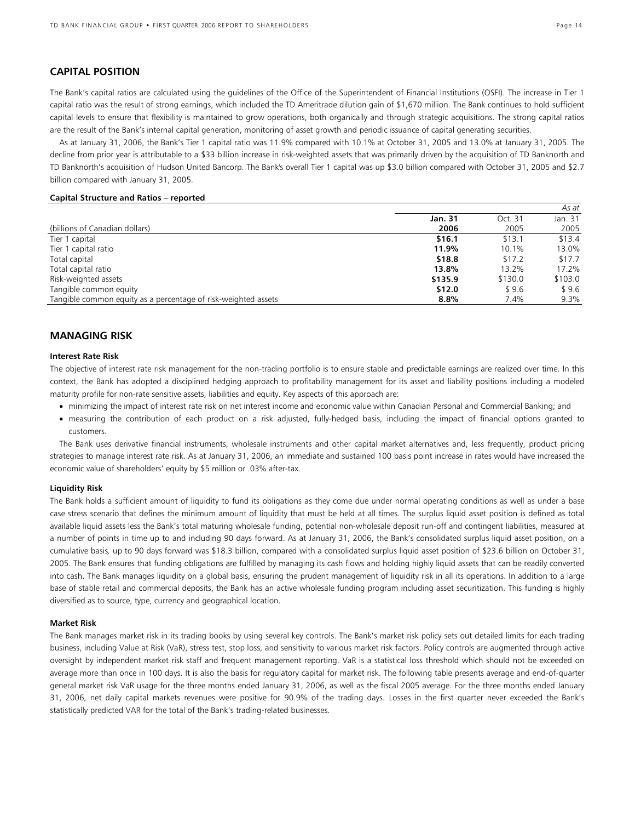## **CAPITAL POSITION**

The Bank's capital ratios are calculated using the guidelines of the Office of the Superintendent of Financial Institutions (OSFI). The increase in Tier 1 capital ratio was the result of strong earnings, which included the TD Ameritrade dilution gain of \$1,670 million. The Bank continues to hold sufficient capital levels to ensure that flexibility is maintained to grow operations, both organically and through strategic acquisitions. The strong capital ratios are the result of the Bank's internal capital generation, monitoring of asset growth and periodic issuance of capital generating securities.

As at January 31, 2006, the Bank's Tier 1 capital ratio was 11.9% compared with 10.1% at October 31, 2005 and 13.0% at January 31, 2005. The decline from prior year is attributable to a \$33 billion increase in risk-weighted assets that was primarily driven by the acquisition of TD Banknorth and TD Banknorth's acquisition of Hudson United Bancorp. The Bank's overall Tier 1 capital was up \$3.0 billion compared with October 31, 2005 and \$2.7 billion compared with January 31, 2005.

## **Capital Structure and Ratios – reported**

|                                                                |         |         | As at   |
|----------------------------------------------------------------|---------|---------|---------|
|                                                                | Jan. 31 | Oct. 31 | Jan. 31 |
| (billions of Canadian dollars)                                 | 2006    | 2005    | 2005    |
| Tier 1 capital                                                 | \$16.1  | \$13.1  | \$13.4  |
| Tier 1 capital ratio                                           | 11.9%   | 10.1%   | 13.0%   |
| Total capital                                                  | \$18.8  | \$17.2  | \$17.7  |
| Total capital ratio                                            | 13.8%   | 13.2%   | 17.2%   |
| Risk-weighted assets                                           | \$135.9 | \$130.0 | \$103.0 |
| Tangible common equity                                         | \$12.0  | \$9.6   | \$9.6   |
| Tangible common equity as a percentage of risk-weighted assets | 8.8%    | 7.4%    | 9.3%    |

## **MANAGING RISK**

## **Interest Rate Risk**

The objective of interest rate risk management for the non-trading portfolio is to ensure stable and predictable earnings are realized over time. In this context, the Bank has adopted a disciplined hedging approach to profitability management for its asset and liability positions including a modeled maturity profile for non-rate sensitive assets, liabilities and equity. Key aspects of this approach are:

- minimizing the impact of interest rate risk on net interest income and economic value within Canadian Personal and Commercial Banking; and
- measuring the contribution of each product on a risk adjusted, fully-hedged basis, including the impact of financial options granted to customers.

 The Bank uses derivative financial instruments, wholesale instruments and other capital market alternatives and, less frequently, product pricing strategies to manage interest rate risk. As at January 31, 2006, an immediate and sustained 100 basis point increase in rates would have increased the economic value of shareholders' equity by \$5 million or .03% after-tax.

## **Liquidity Risk**

The Bank holds a sufficient amount of liquidity to fund its obligations as they come due under normal operating conditions as well as under a base case stress scenario that defines the minimum amount of liquidity that must be held at all times. The surplus liquid asset position is defined as total available liquid assets less the Bank's total maturing wholesale funding, potential non-wholesale deposit run-off and contingent liabilities, measured at a number of points in time up to and including 90 days forward. As at January 31, 2006, the Bank's consolidated surplus liquid asset position, on a cumulative basis*,* up to 90 days forward was \$18.3 billion, compared with a consolidated surplus liquid asset position of \$23.6 billion on October 31, 2005. The Bank ensures that funding obligations are fulfilled by managing its cash flows and holding highly liquid assets that can be readily converted into cash. The Bank manages liquidity on a global basis, ensuring the prudent management of liquidity risk in all its operations. In addition to a large base of stable retail and commercial deposits, the Bank has an active wholesale funding program including asset securitization. This funding is highly diversified as to source, type, currency and geographical location.

## **Market Risk**

The Bank manages market risk in its trading books by using several key controls. The Bank's market risk policy sets out detailed limits for each trading business, including Value at Risk (VaR), stress test, stop loss, and sensitivity to various market risk factors. Policy controls are augmented through active oversight by independent market risk staff and frequent management reporting. VaR is a statistical loss threshold which should not be exceeded on average more than once in 100 days. It is also the basis for regulatory capital for market risk. The following table presents average and end-of-quarter general market risk VaR usage for the three months ended January 31, 2006, as well as the fiscal 2005 average. For the three months ended January 31, 2006, net daily capital markets revenues were positive for 90.9% of the trading days. Losses in the first quarter never exceeded the Bank's statistically predicted VAR for the total of the Bank's trading-related businesses.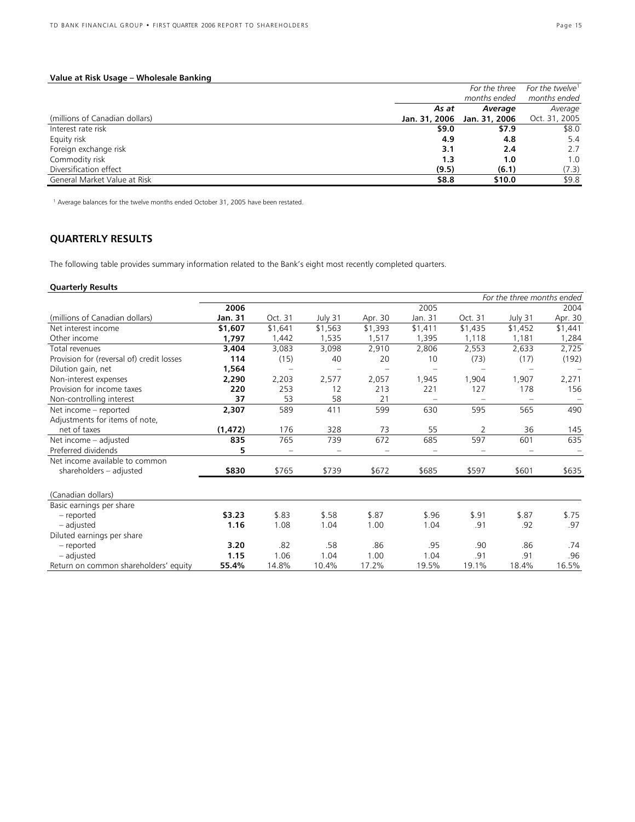## **Value at Risk Usage – Wholesale Banking**

| months ended<br>Average<br>As at<br>(millions of Canadian dollars)<br>Jan. 31, 2006<br>Jan. 31, 2006 |  | For the three | For the twelve <sup>1</sup> |
|------------------------------------------------------------------------------------------------------|--|---------------|-----------------------------|
|                                                                                                      |  |               | months ended                |
|                                                                                                      |  |               | Average                     |
|                                                                                                      |  |               | Oct. 31, 2005               |
| Interest rate risk<br>\$9.0<br>\$7.9                                                                 |  |               | \$8.0                       |
| Equity risk<br>4.9<br>4.8                                                                            |  |               | 5.4                         |
| Foreign exchange risk<br>3.1<br>2.4                                                                  |  |               | 2.7                         |
| Commodity risk<br>1.0<br>1.3                                                                         |  |               | 1.0                         |
| Diversification effect<br>(9.5)<br>(6.1)                                                             |  |               | (7.3)                       |
| General Market Value at Risk<br>\$8.8<br>\$10.0                                                      |  |               | \$9.8                       |

<sup>1</sup> Average balances for the twelve months ended October 31, 2005 have been restated.

## **QUARTERLY RESULTS**

The following table provides summary information related to the Bank's eight most recently completed quarters.

## **Quarterly Results**

|                                           |          |         |         |         |         |         | For the three months ended |         |
|-------------------------------------------|----------|---------|---------|---------|---------|---------|----------------------------|---------|
|                                           | 2006     |         |         |         | 2005    |         |                            | 2004    |
| (millions of Canadian dollars)            | Jan. 31  | Oct. 31 | July 31 | Apr. 30 | Jan. 31 | Oct. 31 | July 31                    | Apr. 30 |
| Net interest income                       | \$1,607  | \$1,641 | \$1,563 | \$1,393 | \$1,411 | \$1,435 | \$1,452                    | \$1,441 |
| Other income                              | 1,797    | 1,442   | 1,535   | 1,517   | 1,395   | 1,118   | 1,181                      | 1,284   |
| Total revenues                            | 3,404    | 3,083   | 3,098   | 2,910   | 2,806   | 2,553   | 2,633                      | 2,725   |
| Provision for (reversal of) credit losses | 114      | (15)    | 40      | 20      | 10      | (73)    | (17)                       | (192)   |
| Dilution gain, net                        | 1,564    |         |         |         |         |         |                            |         |
| Non-interest expenses                     | 2,290    | 2,203   | 2,577   | 2,057   | 1,945   | 1,904   | 1,907                      | 2,271   |
| Provision for income taxes                | 220      | 253     | 12      | 213     | 221     | 127     | 178                        | 156     |
| Non-controlling interest                  | 37       | 53      | 58      | 21      |         |         |                            |         |
| Net income - reported                     | 2,307    | 589     | 411     | 599     | 630     | 595     | 565                        | 490     |
| Adjustments for items of note,            |          |         |         |         |         |         |                            |         |
| net of taxes                              | (1, 472) | 176     | 328     | 73      | 55      | 2       | 36                         | 145     |
| Net income - adjusted                     | 835      | 765     | 739     | 672     | 685     | 597     | 601                        | 635     |
| Preferred dividends                       | 5        |         |         |         |         |         |                            |         |
| Net income available to common            |          |         |         |         |         |         |                            |         |
| shareholders - adjusted                   | \$830    | \$765   | \$739   | \$672   | \$685   | \$597   | \$601                      | \$635   |
| (Canadian dollars)                        |          |         |         |         |         |         |                            |         |
| Basic earnings per share                  |          |         |         |         |         |         |                            |         |
| - reported                                | \$3.23   | \$.83   | \$.58   | \$.87   | \$.96   | \$.91   | \$.87                      | \$.75   |
| - adjusted                                | 1.16     | 1.08    | 1.04    | 1.00    | 1.04    | .91     | .92                        | .97     |
| Diluted earnings per share                |          |         |         |         |         |         |                            |         |
| - reported                                | 3.20     | .82     | .58     | .86     | .95     | .90     | .86                        | .74     |
| - adjusted                                | 1.15     | 1.06    | 1.04    | 1.00    | 1.04    | .91     | .91                        | .96     |
| Return on common shareholders' equity     | 55.4%    | 14.8%   | 10.4%   | 17.2%   | 19.5%   | 19.1%   | 18.4%                      | 16.5%   |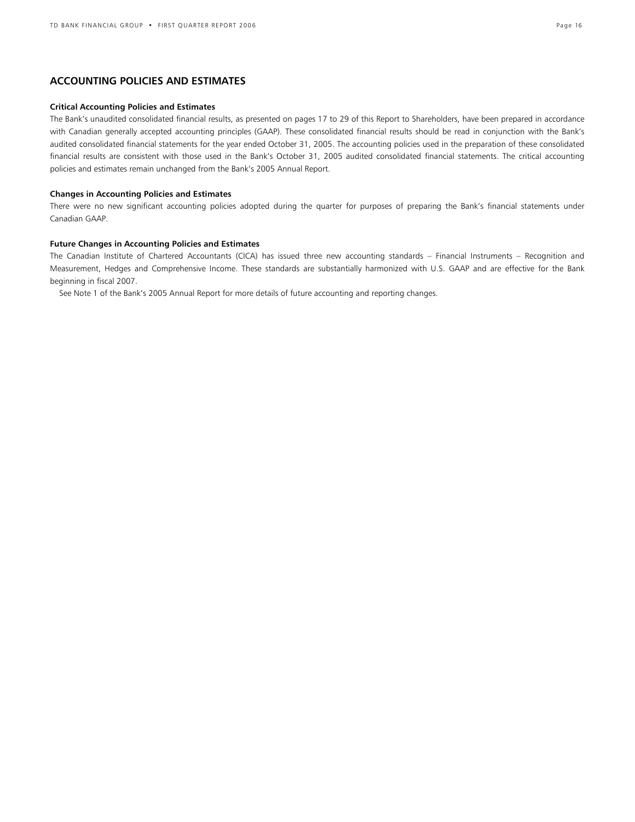## **ACCOUNTING POLICIES AND ESTIMATES**

## **Critical Accounting Policies and Estimates**

The Bank's unaudited consolidated financial results, as presented on pages 17 to 29 of this Report to Shareholders, have been prepared in accordance with Canadian generally accepted accounting principles (GAAP). These consolidated financial results should be read in conjunction with the Bank's audited consolidated financial statements for the year ended October 31, 2005. The accounting policies used in the preparation of these consolidated financial results are consistent with those used in the Bank's October 31, 2005 audited consolidated financial statements. The critical accounting policies and estimates remain unchanged from the Bank's 2005 Annual Report.

## **Changes in Accounting Policies and Estimates**

There were no new significant accounting policies adopted during the quarter for purposes of preparing the Bank's financial statements under Canadian GAAP.

## **Future Changes in Accounting Policies and Estimates**

The Canadian Institute of Chartered Accountants (CICA) has issued three new accounting standards – Financial Instruments – Recognition and Measurement, Hedges and Comprehensive Income. These standards are substantially harmonized with U.S. GAAP and are effective for the Bank beginning in fiscal 2007.

See Note 1 of the Bank's 2005 Annual Report for more details of future accounting and reporting changes. .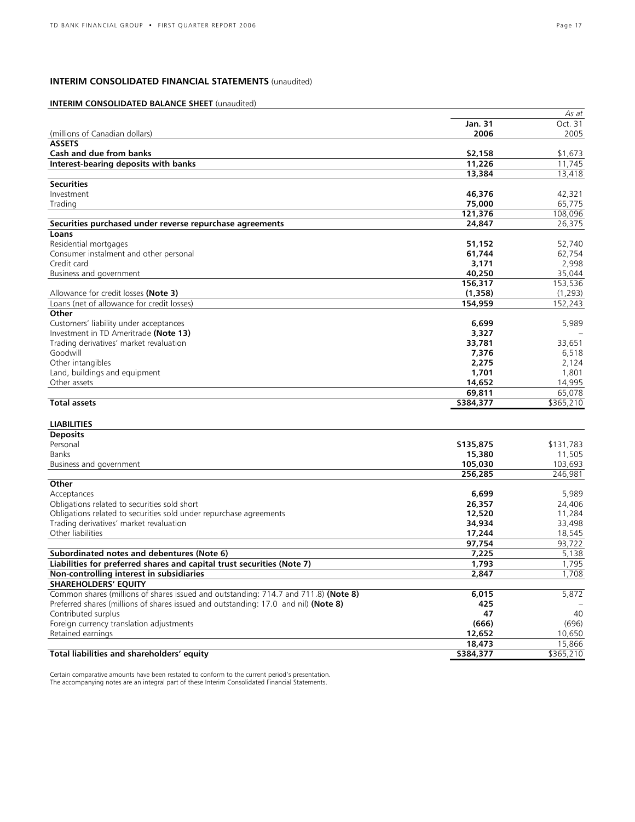## **INTERIM CONSOLIDATED FINANCIAL STATEMENTS** (unaudited)

## **INTERIM CONSOLIDATED BALANCE SHEET** (unaudited)

|                                                                                     |                | As at     |
|-------------------------------------------------------------------------------------|----------------|-----------|
|                                                                                     | <b>Jan. 31</b> | Oct. 31   |
| (millions of Canadian dollars)                                                      | 2006           | 2005      |
| <b>ASSETS</b>                                                                       |                |           |
| Cash and due from banks                                                             | \$2,158        | \$1,673   |
| Interest-bearing deposits with banks                                                | 11,226         | 11,745    |
|                                                                                     | 13,384         | 13,418    |
| <b>Securities</b>                                                                   |                |           |
| Investment                                                                          | 46,376         | 42,321    |
| Trading                                                                             | 75,000         | 65,775    |
|                                                                                     | 121,376        | 108,096   |
| Securities purchased under reverse repurchase agreements                            | 24,847         | 26,375    |
| Loans                                                                               |                |           |
| Residential mortgages                                                               | 51,152         | 52,740    |
| Consumer instalment and other personal                                              |                |           |
| Credit card                                                                         | 61,744         | 62,754    |
|                                                                                     | 3,171          | 2,998     |
| Business and government                                                             | 40,250         | 35,044    |
|                                                                                     | 156,317        | 153,536   |
| Allowance for credit losses (Note 3)                                                | (1,358)        | (1, 293)  |
| Loans (net of allowance for credit losses)                                          | 154,959        | 152,243   |
| Other                                                                               |                |           |
| Customers' liability under acceptances                                              | 6,699          | 5,989     |
| Investment in TD Ameritrade (Note 13)                                               | 3,327          |           |
| Trading derivatives' market revaluation                                             | 33,781         | 33,651    |
| Goodwill                                                                            | 7,376          | 6,518     |
| Other intangibles                                                                   | 2,275          | 2,124     |
| Land, buildings and equipment                                                       | 1,701          | 1,801     |
| Other assets                                                                        | 14,652         | 14,995    |
|                                                                                     | 69,811         | 65,078    |
| <b>Total assets</b>                                                                 | \$384,377      | \$365,210 |
|                                                                                     |                |           |
| <b>LIABILITIES</b>                                                                  |                |           |
| <b>Deposits</b>                                                                     |                |           |
| Personal                                                                            | \$135,875      | \$131,783 |
| Banks                                                                               | 15,380         | 11,505    |
| Business and government                                                             | 105,030        | 103,693   |
|                                                                                     | 256,285        | 246,981   |
| Other                                                                               |                |           |
| Acceptances                                                                         | 6,699          | 5,989     |
| Obligations related to securities sold short                                        | 26,357         | 24,406    |
| Obligations related to securities sold under repurchase agreements                  | 12,520         | 11,284    |
| Trading derivatives' market revaluation                                             | 34,934         | 33,498    |
| Other liabilities                                                                   | 17,244         | 18,545    |
|                                                                                     | 97,754         | 93,722    |
| Subordinated notes and debentures (Note 6)                                          | 7,225          | 5,138     |
| Liabilities for preferred shares and capital trust securities (Note 7)              | 1,793          | 1,795     |
| Non-controlling interest in subsidiaries                                            | 2,847          | 1,708     |
| <b>SHAREHOLDERS' EQUITY</b>                                                         |                |           |
| Common shares (millions of shares issued and outstanding: 714.7 and 711.8) (Note 8) | 6,015          | 5,872     |
| Preferred shares (millions of shares issued and outstanding: 17.0 and nil) (Note 8) | 425            |           |
| Contributed surplus                                                                 | 47             | 40        |
| Foreign currency translation adjustments                                            | (666)          | (696)     |
| Retained earnings                                                                   | 12,652         | 10,650    |
|                                                                                     | 18,473         | 15,866    |
| Total liabilities and shareholders' equity                                          | \$384,377      | \$365,210 |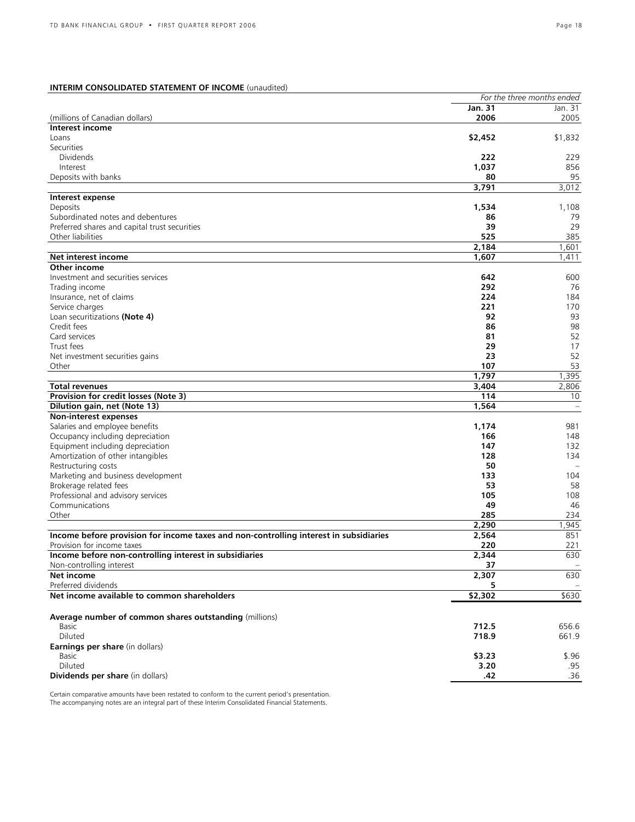## **INTERIM CONSOLIDATED STATEMENT OF INCOME** (unaudited)

|                                                                                       | For the three months ended |                          |
|---------------------------------------------------------------------------------------|----------------------------|--------------------------|
|                                                                                       | Jan. 31                    | Jan. 31                  |
| (millions of Canadian dollars)                                                        | 2006                       | 2005                     |
| Interest income                                                                       |                            |                          |
| Loans                                                                                 | \$2,452                    | \$1,832                  |
| Securities                                                                            |                            |                          |
| <b>Dividends</b>                                                                      | 222                        | 229                      |
| Interest                                                                              | 1,037                      | 856                      |
| Deposits with banks                                                                   | 80                         | 95                       |
|                                                                                       | 3,791                      | 3,012                    |
|                                                                                       |                            |                          |
| Interest expense                                                                      |                            |                          |
| <b>Deposits</b>                                                                       | 1,534                      | 1,108                    |
| Subordinated notes and debentures                                                     | 86                         | 79                       |
| Preferred shares and capital trust securities                                         | 39                         | 29                       |
| Other liabilities                                                                     | 525                        | 385                      |
|                                                                                       | 2,184                      | 1,601                    |
| Net interest income                                                                   | 1,607                      | 1,411                    |
| Other income                                                                          |                            |                          |
| Investment and securities services                                                    | 642                        | 600                      |
| Trading income                                                                        | 292                        | 76                       |
| Insurance, net of claims                                                              | 224                        | 184                      |
| Service charges                                                                       | 221                        | 170                      |
| Loan securitizations (Note 4)                                                         | 92                         | 93                       |
| Credit fees                                                                           |                            |                          |
|                                                                                       | 86                         | 98                       |
| Card services                                                                         | 81                         | 52                       |
| Trust fees                                                                            | 29                         | 17                       |
| Net investment securities gains                                                       | 23                         | 52                       |
| Other                                                                                 | 107                        | 53                       |
|                                                                                       | 1,797                      | 1,395                    |
| <b>Total revenues</b>                                                                 | 3,404                      | 2,806                    |
| Provision for credit losses (Note 3)                                                  | 114                        | 10                       |
| Dilution gain, net (Note 13)                                                          | 1,564                      | $\overline{\phantom{m}}$ |
| Non-interest expenses                                                                 |                            |                          |
| Salaries and employee benefits                                                        | 1,174                      | 981                      |
| Occupancy including depreciation                                                      | 166                        | 148                      |
| Equipment including depreciation                                                      | 147                        | 132                      |
|                                                                                       | 128                        | 134                      |
| Amortization of other intangibles                                                     |                            |                          |
| Restructuring costs                                                                   | 50                         |                          |
| Marketing and business development                                                    | 133                        | 104                      |
| Brokerage related fees                                                                | 53                         | 58                       |
| Professional and advisory services                                                    | 105                        | 108                      |
| Communications                                                                        | 49                         | 46                       |
| Other                                                                                 | 285                        | 234                      |
|                                                                                       | 2,290                      | 1,945                    |
| Income before provision for income taxes and non-controlling interest in subsidiaries | 2,564                      | 851                      |
| Provision for income taxes                                                            | 220                        | 221                      |
| Income before non-controlling interest in subsidiaries                                | 2,344                      | 630                      |
| Non-controlling interest                                                              | 37                         | $\qquad \qquad -$        |
| Net income                                                                            | 2,307                      | 630                      |
| Preferred dividends                                                                   | 5                          |                          |
|                                                                                       |                            |                          |
| Net income available to common shareholders                                           | \$2,302                    | \$630                    |
| Average number of common shares outstanding (millions)                                |                            |                          |
| Basic                                                                                 | 712.5                      | 656.6                    |
| Diluted                                                                               | 718.9                      | 661.9                    |
| Earnings per share (in dollars)                                                       |                            |                          |
| Basic                                                                                 | \$3.23                     | \$.96                    |
| Diluted                                                                               | 3.20                       | .95                      |
| Dividends per share (in dollars)                                                      | .42                        | .36                      |
|                                                                                       |                            |                          |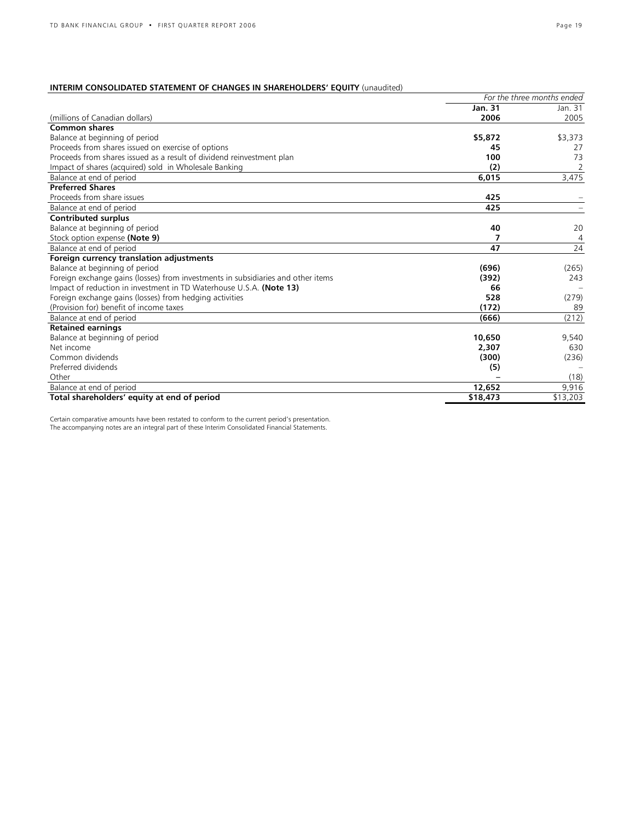|                                                                                  | For the three months ended |          |
|----------------------------------------------------------------------------------|----------------------------|----------|
|                                                                                  | Jan. 31                    | Jan. 31  |
| (millions of Canadian dollars)                                                   | 2006                       | 2005     |
| <b>Common shares</b>                                                             |                            |          |
| Balance at beginning of period                                                   | \$5,872                    | \$3,373  |
| Proceeds from shares issued on exercise of options                               | 45                         | 27       |
| Proceeds from shares issued as a result of dividend reinvestment plan            | 100                        | 73       |
| Impact of shares (acquired) sold in Wholesale Banking                            | (2)                        | 2        |
| Balance at end of period                                                         | 6,015                      | 3,475    |
| <b>Preferred Shares</b>                                                          |                            |          |
| Proceeds from share issues                                                       | 425                        |          |
| Balance at end of period                                                         | 425                        |          |
| <b>Contributed surplus</b>                                                       |                            |          |
| Balance at beginning of period                                                   | 40                         | 20       |
| Stock option expense (Note 9)                                                    | 7                          | 4        |
| Balance at end of period                                                         | 47                         | 24       |
| Foreign currency translation adjustments                                         |                            |          |
| Balance at beginning of period                                                   | (696)                      | (265)    |
| Foreign exchange gains (losses) from investments in subsidiaries and other items | (392)                      | 243      |
| Impact of reduction in investment in TD Waterhouse U.S.A. (Note 13)              | 66                         |          |
| Foreign exchange gains (losses) from hedging activities                          | 528                        | (279)    |
| (Provision for) benefit of income taxes                                          | (172)                      | 89       |
| Balance at end of period                                                         | (666)                      | (212)    |
| <b>Retained earnings</b>                                                         |                            |          |
| Balance at beginning of period                                                   | 10,650                     | 9,540    |
| Net income                                                                       | 2,307                      | 630      |
| Common dividends                                                                 | (300)                      | (236)    |
| Preferred dividends                                                              | (5)                        |          |
| Other                                                                            |                            | (18)     |
| Balance at end of period                                                         | 12,652                     | 9,916    |
| Total shareholders' equity at end of period                                      | \$18,473                   | \$13,203 |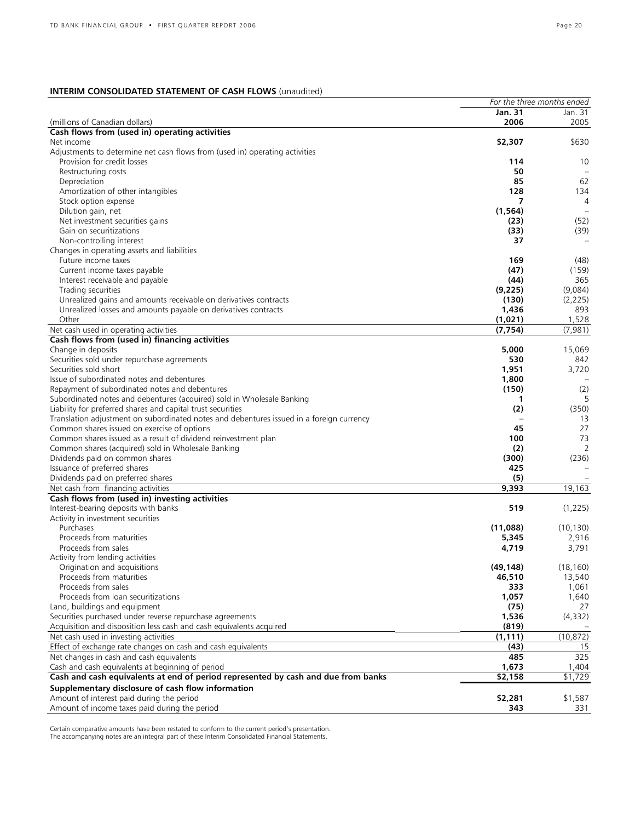## **INTERIM CONSOLIDATED STATEMENT OF CASH FLOWS** (unaudited)

|                                                                                          | For the three months ended |                          |
|------------------------------------------------------------------------------------------|----------------------------|--------------------------|
|                                                                                          | Jan. 31                    | Jan. 31                  |
| (millions of Canadian dollars)                                                           | 2006                       | 2005                     |
| Cash flows from (used in) operating activities                                           |                            |                          |
| Net income                                                                               | \$2,307                    | \$630                    |
| Adjustments to determine net cash flows from (used in) operating activities              |                            |                          |
| Provision for credit losses                                                              | 114                        | 10                       |
| Restructuring costs                                                                      | 50                         | $\overline{\phantom{a}}$ |
| Depreciation                                                                             | 85                         | 62                       |
| Amortization of other intangibles                                                        | 128                        | 134                      |
| Stock option expense                                                                     | 7                          | 4                        |
| Dilution gain, net                                                                       | (1, 564)                   |                          |
| Net investment securities gains                                                          | (23)                       | (52)                     |
| Gain on securitizations                                                                  | (33)                       | (39)                     |
| Non-controlling interest                                                                 | 37                         |                          |
| Changes in operating assets and liabilities                                              |                            |                          |
| Future income taxes                                                                      | 169                        | (48)                     |
| Current income taxes payable                                                             | (47)                       | (159)                    |
| Interest receivable and payable                                                          | (44)                       | 365                      |
| Trading securities                                                                       | (9,225)                    | (9,084)                  |
| Unrealized gains and amounts receivable on derivatives contracts                         | (130)                      | (2, 225)                 |
| Unrealized losses and amounts payable on derivatives contracts                           | 1,436                      | 893                      |
| Other                                                                                    | (1,021)                    | 1,528                    |
| Net cash used in operating activities                                                    | (7, 754)                   | (7.981)                  |
| Cash flows from (used in) financing activities                                           |                            |                          |
| Change in deposits                                                                       | 5,000                      | 15,069                   |
| Securities sold under repurchase agreements                                              | 530                        | 842                      |
| Securities sold short                                                                    | 1,951                      | 3,720                    |
| Issue of subordinated notes and debentures                                               | 1,800                      |                          |
| Repayment of subordinated notes and debentures                                           | (150)                      |                          |
|                                                                                          |                            | (2)<br>5                 |
| Subordinated notes and debentures (acquired) sold in Wholesale Banking                   | 1                          |                          |
| Liability for preferred shares and capital trust securities                              | (2)                        | (350)                    |
| Translation adjustment on subordinated notes and debentures issued in a foreign currency |                            | 13                       |
| Common shares issued on exercise of options                                              | 45                         | 27                       |
| Common shares issued as a result of dividend reinvestment plan                           | 100                        | 73                       |
| Common shares (acquired) sold in Wholesale Banking                                       | (2)                        | 2                        |
| Dividends paid on common shares                                                          | (300)                      | (236)                    |
| Issuance of preferred shares                                                             | 425                        |                          |
| Dividends paid on preferred shares                                                       | (5)                        |                          |
| Net cash from financing activities                                                       | 9,393                      | 19,163                   |
| Cash flows from (used in) investing activities                                           |                            |                          |
| Interest-bearing deposits with banks                                                     | 519                        | (1,225)                  |
| Activity in investment securities                                                        |                            |                          |
| Purchases                                                                                | (11,088)                   | (10, 130)                |
| Proceeds from maturities                                                                 | 5,345                      | 2,916                    |
| Proceeds from sales                                                                      | 4,719                      | 3,791                    |
| Activity from lending activities                                                         |                            |                          |
| Origination and acquisitions                                                             | (49, 148)                  | (18, 160)                |
| Proceeds from maturities                                                                 | 46,510                     | 13,540                   |
| Proceeds from sales                                                                      | 333                        | 1,061                    |
| Proceeds from loan securitizations                                                       | 1,057                      | 1,640                    |
| Land, buildings and equipment                                                            | (75)                       | 27                       |
| Securities purchased under reverse repurchase agreements                                 | 1,536                      | (4, 332)                 |
| Acquisition and disposition less cash and cash equivalents acquired                      | (819)                      |                          |
| Net cash used in investing activities                                                    | (1, 111)                   | (10, 872)                |
| Effect of exchange rate changes on cash and cash equivalents                             | (43)                       | 15                       |
|                                                                                          | 485                        | 325                      |
| Net changes in cash and cash equivalents                                                 |                            |                          |
| Cash and cash equivalents at beginning of period                                         | 1,673                      | 1,404                    |
| Cash and cash equivalents at end of period represented by cash and due from banks        | \$2,158                    | \$1,729                  |
| Supplementary disclosure of cash flow information                                        |                            |                          |
| Amount of interest paid during the period                                                | \$2,281                    | \$1,587                  |
| Amount of income taxes paid during the period                                            | 343                        | 331                      |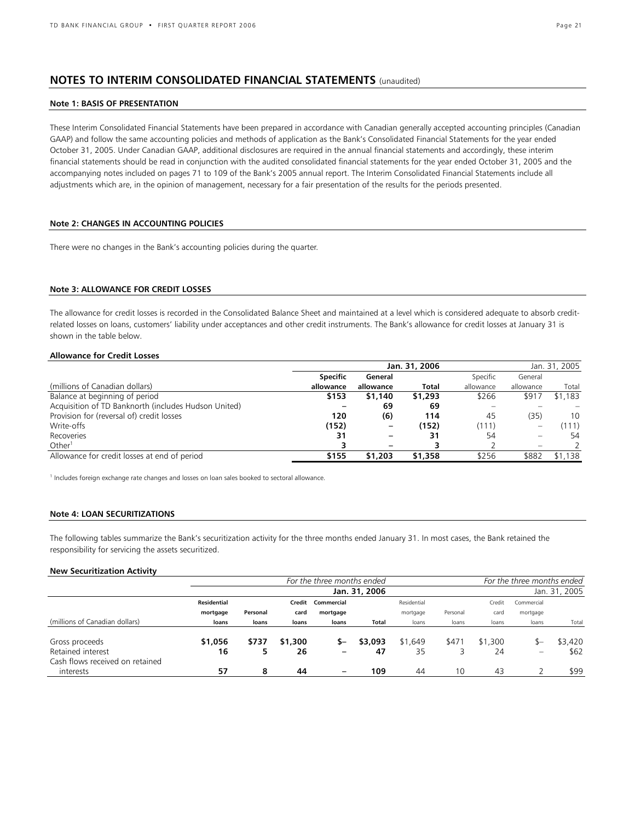## **NOTES TO INTERIM CONSOLIDATED FINANCIAL STATEMENTS** (unaudited)

### **Note 1: BASIS OF PRESENTATION**

These Interim Consolidated Financial Statements have been prepared in accordance with Canadian generally accepted accounting principles (Canadian GAAP) and follow the same accounting policies and methods of application as the Bank's Consolidated Financial Statements for the year ended October 31, 2005. Under Canadian GAAP, additional disclosures are required in the annual financial statements and accordingly, these interim financial statements should be read in conjunction with the audited consolidated financial statements for the year ended October 31, 2005 and the accompanying notes included on pages 71 to 109 of the Bank's 2005 annual report. The Interim Consolidated Financial Statements include all adjustments which are, in the opinion of management, necessary for a fair presentation of the results for the periods presented.

## **Note 2: CHANGES IN ACCOUNTING POLICIES**

There were no changes in the Bank's accounting policies during the quarter.

## **Note 3: ALLOWANCE FOR CREDIT LOSSES**

The allowance for credit losses is recorded in the Consolidated Balance Sheet and maintained at a level which is considered adequate to absorb creditrelated losses on loans, customers' liability under acceptances and other credit instruments. The Bank's allowance for credit losses at January 31 is shown in the table below.

## **Allowance for Credit Losses**

|                                                      | Jan. 31, 2006<br>Jan. 31, 2005 |           |         |           |           |         |
|------------------------------------------------------|--------------------------------|-----------|---------|-----------|-----------|---------|
|                                                      | <b>Specific</b>                | General   |         | Specific  | General   |         |
| (millions of Canadian dollars)                       | allowance                      | allowance | Total   | allowance | allowance | Total   |
| Balance at beginning of period                       | \$153                          | \$1,140   | \$1,293 | \$266     | \$917     | \$1,183 |
| Acquisition of TD Banknorth (includes Hudson United) |                                | 69        | 69      |           |           |         |
| Provision for (reversal of) credit losses            | 120                            | (6)       | 114     | 45        | (35)      | 10      |
| Write-offs                                           | (152)                          |           | (152)   | (111)     |           | (111)   |
| Recoveries                                           | 31                             |           | 31      | 54        |           | 54      |
| Other <sup>1</sup>                                   |                                |           |         |           |           |         |
| Allowance for credit losses at end of period         | \$155                          | \$1,203   | \$1,358 | \$256     | \$882     | \$1,138 |

1 Includes foreign exchange rate changes and losses on loan sales booked to sectoral allowance.

## **Note 4: LOAN SECURITIZATIONS**

The following tables summarize the Bank's securitization activity for the three months ended January 31. In most cases, the Bank retained the responsibility for servicing the assets securitized.

## **New Securitization Activity**

|                                 |                    | For the three months ended |         |            |               |             |          | For the three months ended |                          |               |
|---------------------------------|--------------------|----------------------------|---------|------------|---------------|-------------|----------|----------------------------|--------------------------|---------------|
|                                 |                    |                            |         |            | Jan. 31, 2006 |             |          |                            |                          | Jan. 31, 2005 |
|                                 | <b>Residential</b> |                            | Credit  | Commercial |               | Residential |          | Credit                     | Commercial               |               |
|                                 | mortgage           | Personal                   | card    | mortgage   |               | mortgage    | Personal | card                       | mortgage                 |               |
| (millions of Canadian dollars)  | loans              | loans                      | loans   | loans      | Total         | loans       | loans    | loans                      | loans                    | Total         |
| Gross proceeds                  | \$1,056            | \$737                      | \$1,300 | S-         | \$3,093       | \$1,649     | \$471    | \$1,300                    |                          | \$3,420       |
| Retained interest               | 16                 |                            | 26      |            | 47            | 35          |          | 24                         | $\overline{\phantom{0}}$ | \$62          |
| Cash flows received on retained |                    |                            |         |            |               |             |          |                            |                          |               |
| interests                       | 57                 | 8                          | 44      |            | 109           | 44          | 10       | 43                         |                          | \$99          |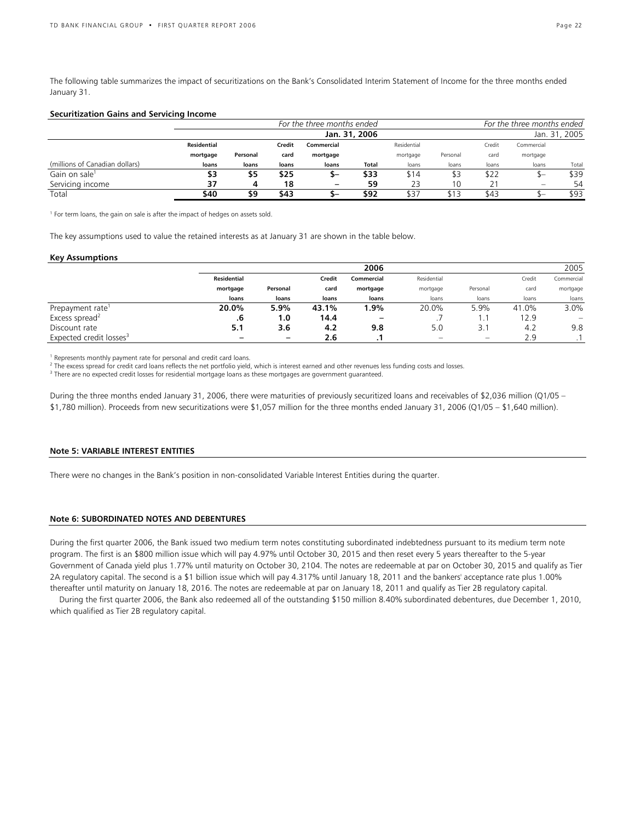The following table summarizes the impact of securitizations on the Bank's Consolidated Interim Statement of Income for the three months ended January 31.

## **Securitization Gains and Servicing Income**

|                                |                    |               |        | For the three months ended |       |             |          |        | For the three months ended |               |
|--------------------------------|--------------------|---------------|--------|----------------------------|-------|-------------|----------|--------|----------------------------|---------------|
|                                |                    | Jan. 31, 2006 |        |                            |       |             |          |        |                            | Jan. 31, 2005 |
|                                | <b>Residential</b> |               | Credit | Commercial                 |       | Residential |          | Credit | Commercial                 |               |
|                                | mortgage           | Personal      | card   | mortgage                   |       | mortgage    | Personal | card   | mortgage                   |               |
| (millions of Canadian dollars) | loans              | loans         | loans  | loans                      | Total | loans       | loans    | loans  | loans                      | Total         |
| Gain on sale <sup>1</sup>      | \$3                | \$5           | \$25   | –ב                         | \$33  | \$14        | \$3      | \$22   | n-                         | \$39          |
| Servicing income               | 37                 |               | 18     | -                          | 59    | 23          | 10       | 21     | -                          | 54            |
| Total                          | \$40               | \$9           | \$43   | ъ-                         | \$92  | \$37        | \$13     | \$43   |                            | \$93          |

<sup>1</sup> For term loans, the gain on sale is after the impact of hedges on assets sold.

The key assumptions used to value the retained interests as at January 31 are shown in the table below.

## **Key Assumptions**

|                                     |                    | 2006                     |       |                          |                          | 2005                     |        |            |
|-------------------------------------|--------------------|--------------------------|-------|--------------------------|--------------------------|--------------------------|--------|------------|
|                                     | <b>Residential</b> | Credit                   |       | Commercial               | Residential              |                          | Credit | Commercial |
|                                     | mortgage           | Personal                 | card  | mortgage                 | mortgage                 | Personal                 | card   | mortgage   |
|                                     | loans              | loans                    | loans | loans                    | loans                    | loans                    | loans  | loans      |
| Prepayment rate <sup>1</sup>        | 20.0%              | 5.9%                     | 43.1% | .9%                      | 20.0%                    | 5.9%                     | 41.0%  | 3.0%       |
| Excess spread <sup>2</sup>          | .6                 | 1.0                      | 14.4  | $\overline{\phantom{m}}$ |                          |                          | 12.9   |            |
| Discount rate                       | 5.1                | 3.6                      | 4.2   | 9.8                      | 5.0                      | 3.1                      | 4.2    | 9.8        |
| Expected credit losses <sup>3</sup> |                    | $\overline{\phantom{0}}$ | 2.6   | . .                      | $\overline{\phantom{0}}$ | $\overline{\phantom{0}}$ | 2.9    |            |

<sup>1</sup> Represents monthly payment rate for personal and credit card loans.

 $^2$  The excess spread for credit card loans reflects the net portfolio yield, which is interest earned and other revenues less funding costs and losses.<br><sup>3</sup> There are no expected credit lesses for residential mertaage lo

 $3$  There are no expected credit losses for residential mortgage loans as these mortgages are government guaranteed.

During the three months ended January 31, 2006, there were maturities of previously securitized loans and receivables of \$2,036 million (Q1/05 – \$1,780 million). Proceeds from new securitizations were \$1,057 million for the three months ended January 31, 2006 (Q1/05 – \$1,640 million).

## **Note 5: VARIABLE INTEREST ENTITIES**

There were no changes in the Bank's position in non-consolidated Variable Interest Entities during the quarter.

## **Note 6: SUBORDINATED NOTES AND DEBENTURES**

During the first quarter 2006, the Bank issued two medium term notes constituting subordinated indebtedness pursuant to its medium term note program. The first is an \$800 million issue which will pay 4.97% until October 30, 2015 and then reset every 5 years thereafter to the 5-year Government of Canada yield plus 1.77% until maturity on October 30, 2104. The notes are redeemable at par on October 30, 2015 and qualify as Tier 2A regulatory capital. The second is a \$1 billion issue which will pay 4.317% until January 18, 2011 and the bankers' acceptance rate plus 1.00% thereafter until maturity on January 18, 2016. The notes are redeemable at par on January 18, 2011 and qualify as Tier 2B regulatory capital.

During the first quarter 2006, the Bank also redeemed all of the outstanding \$150 million 8.40% subordinated debentures, due December 1, 2010, which qualified as Tier 2B regulatory capital.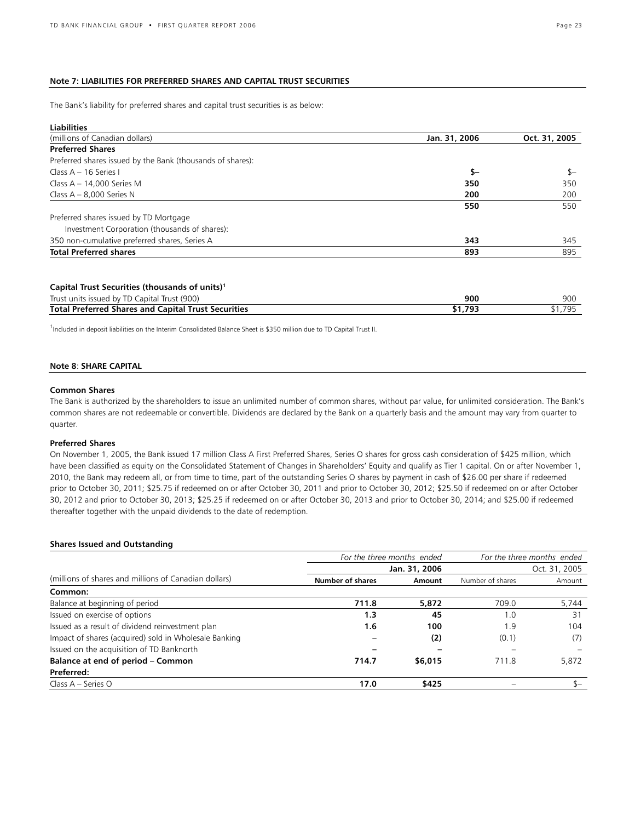## **Note 7: LIABILITIES FOR PREFERRED SHARES AND CAPITAL TRUST SECURITIES**

The Bank's liability for preferred shares and capital trust securities is as below:

| <b>Liabilities</b>                                         |               |               |
|------------------------------------------------------------|---------------|---------------|
| (millions of Canadian dollars)                             | Jan. 31, 2006 | Oct. 31, 2005 |
| <b>Preferred Shares</b>                                    |               |               |
| Preferred shares issued by the Bank (thousands of shares): |               |               |
| Class A - 16 Series I                                      | $S-$          | $s-$          |
| Class $A - 14,000$ Series M                                | 350           | 350           |
| Class $A - 8,000$ Series N                                 | 200           | 200           |
|                                                            | 550           | 550           |
| Preferred shares issued by TD Mortgage                     |               |               |
| Investment Corporation (thousands of shares):              |               |               |
| 350 non-cumulative preferred shares, Series A              | 343           | 345           |
| <b>Total Preferred shares</b>                              | 893           | 895           |
|                                                            |               |               |
|                                                            |               |               |
| Capital Trust Securities (thousands of units) <sup>1</sup> |               |               |

| (900)<br>Irust<br>units issued<br>Lapital<br>Trust<br>bv                                     | 900 | 000<br>ンしし |
|----------------------------------------------------------------------------------------------|-----|------------|
| <b>Total Preferred S.</b><br>l Trust Securities<br>Capital <sup>-</sup><br><b>Shares and</b> | 703 | 705        |

<sup>1</sup>Included in deposit liabilities on the Interim Consolidated Balance Sheet is \$350 million due to TD Capital Trust II.

## **Note 8**: **SHARE CAPITAL**

#### **Common Shares**

The Bank is authorized by the shareholders to issue an unlimited number of common shares, without par value, for unlimited consideration. The Bank's common shares are not redeemable or convertible. Dividends are declared by the Bank on a quarterly basis and the amount may vary from quarter to quarter.

#### **Preferred Shares**

On November 1, 2005, the Bank issued 17 million Class A First Preferred Shares, Series O shares for gross cash consideration of \$425 million, which have been classified as equity on the Consolidated Statement of Changes in Shareholders' Equity and qualify as Tier 1 capital. On or after November 1, 2010, the Bank may redeem all, or from time to time, part of the outstanding Series O shares by payment in cash of \$26.00 per share if redeemed prior to October 30, 2011; \$25.75 if redeemed on or after October 30, 2011 and prior to October 30, 2012; \$25.50 if redeemed on or after October 30, 2012 and prior to October 30, 2013; \$25.25 if redeemed on or after October 30, 2013 and prior to October 30, 2014; and \$25.00 if redeemed thereafter together with the unpaid dividends to the date of redemption.

## **Shares Issued and Outstanding**

|                                                       | For the three months ended |               | For the three months ended |               |  |
|-------------------------------------------------------|----------------------------|---------------|----------------------------|---------------|--|
|                                                       |                            | Jan. 31, 2006 |                            | Oct. 31, 2005 |  |
| (millions of shares and millions of Canadian dollars) | <b>Number of shares</b>    | Amount        | Number of shares           | Amount        |  |
| Common:                                               |                            |               |                            |               |  |
| Balance at beginning of period                        | 711.8                      | 5,872         | 709.0                      | 5,744         |  |
| Issued on exercise of options                         | 1.3                        | 45            | 1.0                        | 31            |  |
| Issued as a result of dividend reinvestment plan      | 1.6                        | 100           | 1.9                        | 104           |  |
| Impact of shares (acquired) sold in Wholesale Banking |                            | (2)           | (0.1)                      | (7)           |  |
| Issued on the acquisition of TD Banknorth             |                            |               |                            |               |  |
| Balance at end of period - Common                     | 714.7                      | \$6,015       | 711.8                      | 5,872         |  |
| Preferred:                                            |                            |               |                            |               |  |
| Class A - Series O                                    | 17.0                       | \$425         |                            |               |  |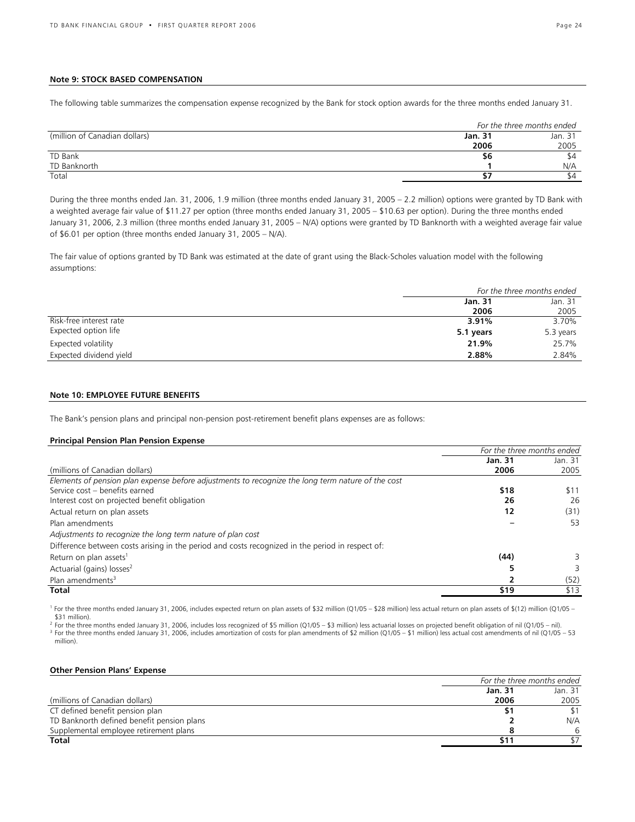## **Note 9: STOCK BASED COMPENSATION**

The following table summarizes the compensation expense recognized by the Bank for stock option awards for the three months ended January 31.

|                               |                | For the three months ended |
|-------------------------------|----------------|----------------------------|
| (million of Canadian dollars) | <b>Jan. 31</b> | Jan. 31                    |
|                               | 2006           | 2005                       |
| TD Bank                       | \$6            | \$4                        |
| TD Banknorth                  |                | N/A                        |
| Total                         |                | \$4                        |

During the three months ended Jan. 31, 2006, 1.9 million (three months ended January 31, 2005 – 2.2 million) options were granted by TD Bank with a weighted average fair value of \$11.27 per option (three months ended January 31, 2005 – \$10.63 per option). During the three months ended January 31, 2006, 2.3 million (three months ended January 31, 2005 – N/A) options were granted by TD Banknorth with a weighted average fair value of \$6.01 per option (three months ended January 31, 2005 – N/A).

The fair value of options granted by TD Bank was estimated at the date of grant using the Black-Scholes valuation model with the following assumptions:

|                         | For the three months ended |           |  |
|-------------------------|----------------------------|-----------|--|
|                         | <b>Jan. 31</b>             | Jan. 31   |  |
|                         | 2006                       | 2005      |  |
| Risk-free interest rate | 3.91%                      | 3.70%     |  |
| Expected option life    | 5.1 years                  | 5.3 years |  |
| Expected volatility     | 21.9%                      | 25.7%     |  |
| Expected dividend yield | 2.88%                      | 2.84%     |  |

## **Note 10: EMPLOYEE FUTURE BENEFITS**

The Bank's pension plans and principal non-pension post-retirement benefit plans expenses are as follows:

## **Principal Pension Plan Pension Expense**

|                                                                                                   | For the three months ended |         |
|---------------------------------------------------------------------------------------------------|----------------------------|---------|
|                                                                                                   | Jan. 31                    | Jan. 31 |
| (millions of Canadian dollars)                                                                    | 2006                       | 2005    |
| Elements of pension plan expense before adjustments to recognize the long term nature of the cost |                            |         |
| Service cost - benefits earned                                                                    | \$18                       | \$11    |
| Interest cost on projected benefit obligation                                                     | 26                         | 26      |
| Actual return on plan assets                                                                      | 12                         | (31)    |
| Plan amendments                                                                                   |                            | 53      |
| Adjustments to recognize the long term nature of plan cost                                        |                            |         |
| Difference between costs arising in the period and costs recognized in the period in respect of:  |                            |         |
| Return on plan assets <sup>1</sup>                                                                | (44)                       | 3.      |
| Actuarial (gains) losses <sup>2</sup>                                                             |                            | 3       |
| Plan amendments <sup>3</sup>                                                                      |                            | (52)    |
| Total                                                                                             | \$19                       | \$13    |

<sup>1</sup> For the three months ended January 31, 2006, includes expected return on plan assets of \$32 million (Q1/05 – \$28 million) less actual return on plan assets of \$(12) million (Q1/05 – \$31 million).

<sup>2</sup> For the three months ended January 31, 2006, includes loss recognized of \$5 million (Q1/05 - \$3 million) less actuarial losses on projected benefit obligation of nil (Q1/05 - nil). <sup>2</sup> For the three months ended January 31, 2006, includes loss recognized of \$5 million (Q1/05 – \$3 million) less actuarial losses on projected benefit obligation of nil (Q1/05 – nil).<br><sup>3</sup> For the three months ended Januar

million).

|  |  |  | <b>Other Pension Plans' Expense</b> |
|--|--|--|-------------------------------------|
|--|--|--|-------------------------------------|

|                                            | For the three months ended |         |
|--------------------------------------------|----------------------------|---------|
|                                            | Jan. 31                    | Jan. 31 |
| (millions of Canadian dollars)             | 2006                       | 2005    |
| CT defined benefit pension plan            |                            | \$1     |
| TD Banknorth defined benefit pension plans |                            | N/A     |
| Supplemental employee retirement plans     |                            |         |
| Total                                      | \$11                       | \$7     |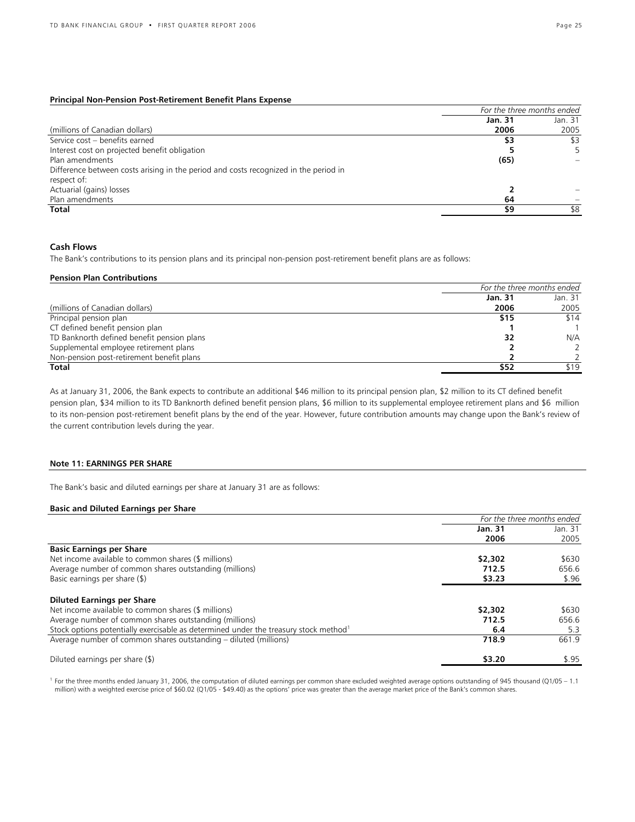## **Principal Non-Pension Post-Retirement Benefit Plans Expense**

|                                                                                      | For the three months ended |         |  |
|--------------------------------------------------------------------------------------|----------------------------|---------|--|
|                                                                                      | Jan. 31                    | Jan. 31 |  |
| (millions of Canadian dollars)                                                       | 2006                       | 2005    |  |
| Service cost - benefits earned                                                       | \$3                        | \$3     |  |
| Interest cost on projected benefit obligation                                        |                            |         |  |
| Plan amendments                                                                      | (65)                       |         |  |
| Difference between costs arising in the period and costs recognized in the period in |                            |         |  |
| respect of:                                                                          |                            |         |  |
| Actuarial (gains) losses                                                             |                            |         |  |
| Plan amendments                                                                      | 64                         |         |  |
| Total                                                                                | \$9                        | \$8     |  |

## **Cash Flows**

The Bank's contributions to its pension plans and its principal non-pension post-retirement benefit plans are as follows:

## **Pension Plan Contributions**

|                                            | For the three months ended |         |  |
|--------------------------------------------|----------------------------|---------|--|
|                                            | Jan. 31                    | Jan. 31 |  |
| (millions of Canadian dollars)             | 2006                       | 2005    |  |
| Principal pension plan                     | \$15                       | \$14    |  |
| CT defined benefit pension plan            |                            |         |  |
| TD Banknorth defined benefit pension plans | 32                         | N/A     |  |
| Supplemental employee retirement plans     |                            |         |  |
| Non-pension post-retirement benefit plans  |                            |         |  |
| Total                                      | \$52                       | \$19    |  |

As at January 31, 2006, the Bank expects to contribute an additional \$46 million to its principal pension plan, \$2 million to its CT defined benefit pension plan, \$34 million to its TD Banknorth defined benefit pension plans, \$6 million to its supplemental employee retirement plans and \$6 million to its non-pension post-retirement benefit plans by the end of the year. However, future contribution amounts may change upon the Bank's review of the current contribution levels during the year.

## **Note 11: EARNINGS PER SHARE**

The Bank's basic and diluted earnings per share at January 31 are as follows:

## **Basic and Diluted Earnings per Share**

|                                                                                                  | For the three months ended |         |  |
|--------------------------------------------------------------------------------------------------|----------------------------|---------|--|
|                                                                                                  | Jan. 31                    | Jan. 31 |  |
|                                                                                                  | 2006                       | 2005    |  |
| <b>Basic Earnings per Share</b>                                                                  |                            |         |  |
| Net income available to common shares (\$ millions)                                              | \$2,302                    | \$630   |  |
| Average number of common shares outstanding (millions)                                           | 712.5                      | 656.6   |  |
| Basic earnings per share $(\$)$                                                                  | \$3.23                     | \$.96   |  |
| <b>Diluted Earnings per Share</b>                                                                |                            |         |  |
| Net income available to common shares (\$ millions)                                              | \$2,302                    | \$630   |  |
| Average number of common shares outstanding (millions)                                           | 712.5                      | 656.6   |  |
| Stock options potentially exercisable as determined under the treasury stock method <sup>1</sup> | 6.4                        | 5.3     |  |
| Average number of common shares outstanding – diluted (millions)                                 | 718.9                      | 661.9   |  |
| Diluted earnings per share (\$)                                                                  | \$3.20                     | \$.95   |  |

<sup>1</sup> For the three months ended January 31, 2006, the computation of diluted earnings per common share excluded weighted average options outstanding of 945 thousand (Q1/05 – 1.1 million) with a weighted exercise price of \$60.02 (Q1/05 - \$49.40) as the options' price was greater than the average market price of the Bank's common shares.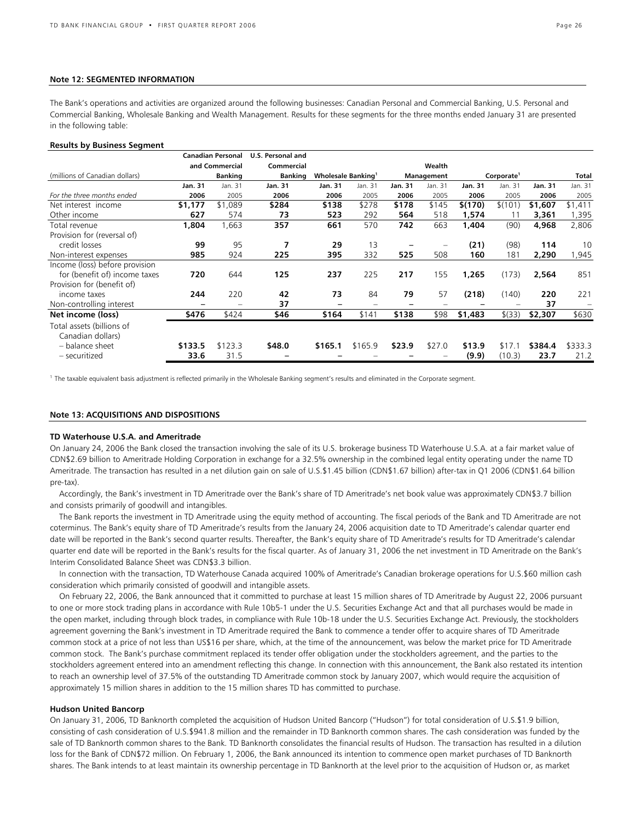### **Note 12: SEGMENTED INFORMATION**

The Bank's operations and activities are organized around the following businesses: Canadian Personal and Commercial Banking, U.S. Personal and Commercial Banking, Wholesale Banking and Wealth Management. Results for these segments for the three months ended January 31 are presented in the following table:

#### **Results by Business Segment**

|                                |                | <b>Canadian Personal</b> | U.S. Personal and |                                |         |                |            |         |                        |                |         |
|--------------------------------|----------------|--------------------------|-------------------|--------------------------------|---------|----------------|------------|---------|------------------------|----------------|---------|
|                                |                | and Commercial           | Commercial        |                                |         |                | Wealth     |         |                        |                |         |
| (millions of Canadian dollars) |                | <b>Banking</b>           | <b>Banking</b>    | Wholesale Banking <sup>1</sup> |         |                | Management |         | Corporate <sup>1</sup> |                | Total   |
|                                | <b>Jan. 31</b> | Jan. 31                  | <b>Jan. 31</b>    | <b>Jan. 31</b>                 | Jan. 31 | <b>Jan. 31</b> | Jan. 31    | Jan. 31 | Jan. 31                | <b>Jan. 31</b> | Jan. 31 |
| For the three months ended     | 2006           | 2005                     | 2006              | 2006                           | 2005    | 2006           | 2005       | 2006    | 2005                   | 2006           | 2005    |
| Net interest income            | \$1,177        | \$1,089                  | \$284             | \$138                          | \$278   | \$178          | \$145      | \$(170) | \$(101)                | \$1,607        | \$1,411 |
| Other income                   | 627            | 574                      | 73                | 523                            | 292     | 564            | 518        | 1,574   | 11                     | 3,361          | 395,    |
| Total revenue                  | 1,804          | 1,663                    | 357               | 661                            | 570     | 742            | 663        | 1,404   | (90)                   | 4,968          | 2,806   |
| Provision for (reversal of)    |                |                          |                   |                                |         |                |            |         |                        |                |         |
| credit losses                  | 99             | 95                       | 7                 | 29                             | 13      |                | -          | (21)    | (98)                   | 114            | 10      |
| Non-interest expenses          | 985            | 924                      | 225               | 395                            | 332     | 525            | 508        | 160     | 181                    | 2,290          | 945.    |
| Income (loss) before provision |                |                          |                   |                                |         |                |            |         |                        |                |         |
| for (benefit of) income taxes  | 720            | 644                      | 125               | 237                            | 225     | 217            | 155        | 1,265   | (173)                  | 2,564          | 851     |
| Provision for (benefit of)     |                |                          |                   |                                |         |                |            |         |                        |                |         |
| income taxes                   | 244            | 220                      | 42                | 73                             | 84      | 79             | 57         | (218)   | (140)                  | 220            | 221     |
| Non-controlling interest       |                |                          | 37                |                                |         |                |            |         |                        | 37             |         |
| Net income (loss)              | \$476          | \$424                    | \$46              | \$164                          | \$141   | \$138          | \$98       | \$1,483 | \$(33)                 | \$2,307        | \$630   |
| Total assets (billions of      |                |                          |                   |                                |         |                |            |         |                        |                |         |
| Canadian dollars)              |                |                          |                   |                                |         |                |            |         |                        |                |         |
| - balance sheet                | \$133.5        | \$123.3                  | \$48.0            | \$165.1                        | \$165.9 | \$23.9         | \$27.0     | \$13.9  | \$17.1                 | \$384.4        | \$333.3 |
| - securitized                  | 33.6           | 31.5                     |                   |                                |         |                |            | (9.9)   | (10.3)                 | 23.7           | 21.2    |

1 The taxable equivalent basis adjustment is reflected primarily in the Wholesale Banking segment's results and eliminated in the Corporate segment.

## **Note 13: ACQUISITIONS AND DISPOSITIONS**

#### **TD Waterhouse U.S.A. and Ameritrade**

On January 24, 2006 the Bank closed the transaction involving the sale of its U.S. brokerage business TD Waterhouse U.S.A. at a fair market value of CDN\$2.69 billion to Ameritrade Holding Corporation in exchange for a 32.5% ownership in the combined legal entity operating under the name TD Ameritrade. The transaction has resulted in a net dilution gain on sale of U.S.\$1.45 billion (CDN\$1.67 billion) after-tax in Q1 2006 (CDN\$1.64 billion pre-tax).

 Accordingly, the Bank's investment in TD Ameritrade over the Bank's share of TD Ameritrade's net book value was approximately CDN\$3.7 billion and consists primarily of goodwill and intangibles.

 The Bank reports the investment in TD Ameritrade using the equity method of accounting. The fiscal periods of the Bank and TD Ameritrade are not coterminus. The Bank's equity share of TD Ameritrade's results from the January 24, 2006 acquisition date to TD Ameritrade's calendar quarter end date will be reported in the Bank's second quarter results. Thereafter, the Bank's equity share of TD Ameritrade's results for TD Ameritrade's calendar quarter end date will be reported in the Bank's results for the fiscal quarter. As of January 31, 2006 the net investment in TD Ameritrade on the Bank's Interim Consolidated Balance Sheet was CDN\$3.3 billion.

 In connection with the transaction, TD Waterhouse Canada acquired 100% of Ameritrade's Canadian brokerage operations for U.S.\$60 million cash consideration which primarily consisted of goodwill and intangible assets.

 On February 22, 2006, the Bank announced that it committed to purchase at least 15 million shares of TD Ameritrade by August 22, 2006 pursuant to one or more stock trading plans in accordance with Rule 10b5-1 under the U.S. Securities Exchange Act and that all purchases would be made in the open market, including through block trades, in compliance with Rule 10b-18 under the U.S. Securities Exchange Act. Previously, the stockholders agreement governing the Bank's investment in TD Ameritrade required the Bank to commence a tender offer to acquire shares of TD Ameritrade common stock at a price of not less than US\$16 per share, which, at the time of the announcement, was below the market price for TD Ameritrade common stock. The Bank's purchase commitment replaced its tender offer obligation under the stockholders agreement, and the parties to the stockholders agreement entered into an amendment reflecting this change. In connection with this announcement, the Bank also restated its intention to reach an ownership level of 37.5% of the outstanding TD Ameritrade common stock by January 2007, which would require the acquisition of approximately 15 million shares in addition to the 15 million shares TD has committed to purchase.

## **Hudson United Bancorp**

On January 31, 2006, TD Banknorth completed the acquisition of Hudson United Bancorp ("Hudson") for total consideration of U.S.\$1.9 billion, consisting of cash consideration of U.S.\$941.8 million and the remainder in TD Banknorth common shares. The cash consideration was funded by the sale of TD Banknorth common shares to the Bank. TD Banknorth consolidates the financial results of Hudson. The transaction has resulted in a dilution loss for the Bank of CDN\$72 million. On February 1, 2006, the Bank announced its intention to commence open market purchases of TD Banknorth shares. The Bank intends to at least maintain its ownership percentage in TD Banknorth at the level prior to the acquisition of Hudson or, as market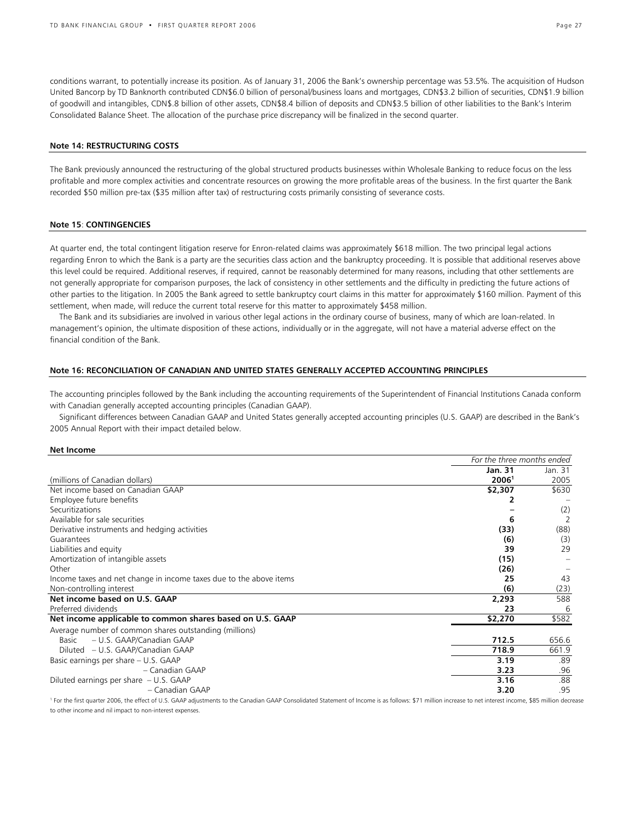conditions warrant, to potentially increase its position. As of January 31, 2006 the Bank's ownership percentage was 53.5%. The acquisition of Hudson United Bancorp by TD Banknorth contributed CDN\$6.0 billion of personal/business loans and mortgages, CDN\$3.2 billion of securities, CDN\$1.9 billion of goodwill and intangibles, CDN\$.8 billion of other assets, CDN\$8.4 billion of deposits and CDN\$3.5 billion of other liabilities to the Bank's Interim Consolidated Balance Sheet. The allocation of the purchase price discrepancy will be finalized in the second quarter.

#### **Note 14: RESTRUCTURING COSTS**

The Bank previously announced the restructuring of the global structured products businesses within Wholesale Banking to reduce focus on the less profitable and more complex activities and concentrate resources on growing the more profitable areas of the business. In the first quarter the Bank recorded \$50 million pre-tax (\$35 million after tax) of restructuring costs primarily consisting of severance costs.

## **Note 15**: **CONTINGENCIES**

At quarter end, the total contingent litigation reserve for Enron-related claims was approximately \$618 million. The two principal legal actions regarding Enron to which the Bank is a party are the securities class action and the bankruptcy proceeding. It is possible that additional reserves above this level could be required. Additional reserves, if required, cannot be reasonably determined for many reasons, including that other settlements are not generally appropriate for comparison purposes, the lack of consistency in other settlements and the difficulty in predicting the future actions of other parties to the litigation. In 2005 the Bank agreed to settle bankruptcy court claims in this matter for approximately \$160 million. Payment of this settlement, when made, will reduce the current total reserve for this matter to approximately \$458 million.

The Bank and its subsidiaries are involved in various other legal actions in the ordinary course of business, many of which are loan-related. In management's opinion, the ultimate disposition of these actions, individually or in the aggregate, will not have a material adverse effect on the financial condition of the Bank.

## **Note 16: RECONCILIATION OF CANADIAN AND UNITED STATES GENERALLY ACCEPTED ACCOUNTING PRINCIPLES**

The accounting principles followed by the Bank including the accounting requirements of the Superintendent of Financial Institutions Canada conform with Canadian generally accepted accounting principles (Canadian GAAP).

 Significant differences between Canadian GAAP and United States generally accepted accounting principles (U.S. GAAP) are described in the Bank's 2005 Annual Report with their impact detailed below.

#### **Net Income**

|                                                                          | For the three months ended |
|--------------------------------------------------------------------------|----------------------------|
| <b>Jan. 31</b>                                                           | Jan. 31                    |
| 20061<br>(millions of Canadian dollars)                                  | 2005                       |
| Net income based on Canadian GAAP<br>\$2,307                             | \$630                      |
| Employee future benefits                                                 |                            |
| Securitizations                                                          | (2)                        |
| Available for sale securities<br>6                                       |                            |
| (33)<br>Derivative instruments and hedging activities                    | (88)                       |
| (6)<br>Guarantees                                                        | (3)                        |
| Liabilities and equity<br>39                                             | 29                         |
| (15)<br>Amortization of intangible assets                                |                            |
| Other<br>(26)                                                            |                            |
| Income taxes and net change in income taxes due to the above items<br>25 | 43                         |
| Non-controlling interest<br>(6)                                          | (23)                       |
| Net income based on U.S. GAAP<br>2,293                                   | 588                        |
| Preferred dividends<br>23                                                | 6                          |
| Net income applicable to common shares based on U.S. GAAP<br>\$2,270     | \$582                      |
| Average number of common shares outstanding (millions)                   |                            |
| 712.5<br>– U.S. GAAP/Canadian GAAP<br>Basic                              | 656.6                      |
| Diluted – U.S. GAAP/Canadian GAAP<br>718.9                               | 661.9                      |
| 3.19<br>Basic earnings per share - U.S. GAAP                             | .89                        |
| 3.23<br>– Canadian GAAP                                                  | .96                        |
| 3.16<br>Diluted earnings per share - U.S. GAAP                           | .88                        |
| - Canadian GAAP<br>3.20                                                  | .95                        |

1 For the first quarter 2006, the effect of U.S. GAAP adjustments to the Canadian GAAP Consolidated Statement of Income is as follows: \$71 million increase to net interest income, \$85 million decrease to other income and nil impact to non-interest expenses.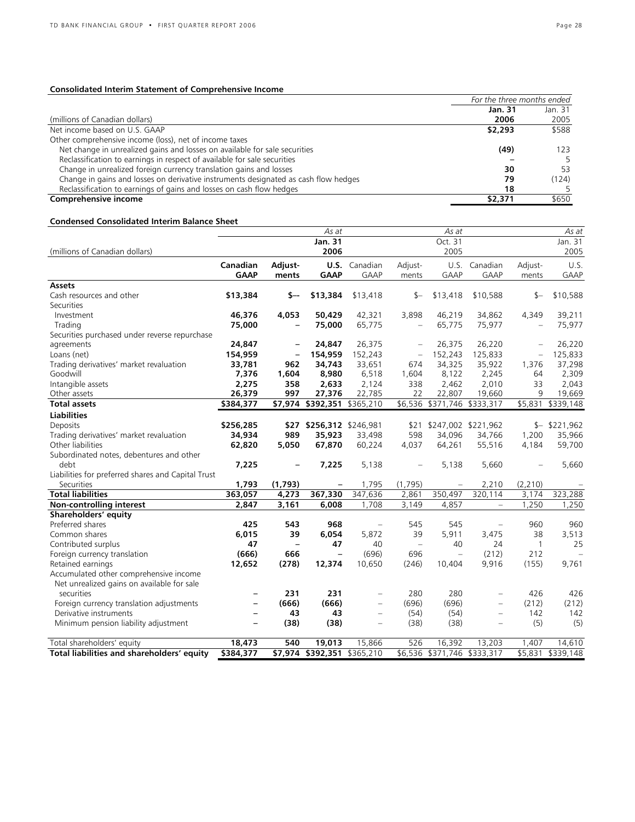## **Consolidated Interim Statement of Comprehensive Income**

| For the three months ended |         |
|----------------------------|---------|
| <b>Jan. 31</b>             | Jan. 31 |
| 2006                       | 2005    |
| \$2,293                    | \$588   |
|                            |         |
| (49)                       | 123     |
|                            |         |
| 30                         | 53      |
| 79                         | (124)   |
| 18                         |         |
| \$2,371                    | \$650   |
|                            |         |

## **Condensed Consolidated Interim Balance Sheet**

|                                                    |             |                          | As at                       |                          |                   | As at                       |           |              | As at          |
|----------------------------------------------------|-------------|--------------------------|-----------------------------|--------------------------|-------------------|-----------------------------|-----------|--------------|----------------|
|                                                    |             |                          | <b>Jan. 31</b>              |                          |                   | Oct. 31                     |           |              | Jan. 31        |
| (millions of Canadian dollars)                     |             |                          | 2006                        |                          |                   | 2005                        |           |              | 2005           |
|                                                    | Canadian    | Adjust-                  | U.S.                        | Canadian                 | Adjust-           | U.S.                        | Canadian  | Adjust-      | U.S.           |
|                                                    | <b>GAAP</b> | ments                    | <b>GAAP</b>                 | GAAP                     | ments             | <b>GAAP</b>                 | GAAP      | ments        | <b>GAAP</b>    |
| <b>Assets</b>                                      |             |                          |                             |                          |                   |                             |           |              |                |
| Cash resources and other                           | \$13,384    | \$--                     | \$13,384                    | \$13,418                 | \$—               | \$13,418                    | \$10,588  | \$—          | \$10,588       |
| Securities                                         |             |                          |                             |                          |                   |                             |           |              |                |
| Investment                                         | 46,376      | 4,053                    | 50,429                      | 42,321                   | 3,898             | 46,219                      | 34,862    | 4,349        | 39,211         |
| Trading                                            | 75,000      |                          | 75,000                      | 65,775                   |                   | 65,775                      | 75,977    |              | 75,977         |
| Securities purchased under reverse repurchase      |             |                          |                             |                          |                   |                             |           |              |                |
| agreements                                         | 24,847      | $\overline{\phantom{m}}$ | 24,847                      | 26,375                   | $\equiv$          | 26,375                      | 26,220    | $\equiv$     | 26,220         |
| Loans (net)                                        | 154,959     | $\qquad \qquad -$        | 154,959                     | 152,243                  |                   | 152,243                     | 125,833   | $\equiv$     | 125,833        |
| Trading derivatives' market revaluation            | 33,781      | 962                      | 34,743                      | 33,651                   | 674               | 34,325                      | 35,922    | 1,376        | 37,298         |
| Goodwill                                           | 7,376       | 1,604                    | 8,980                       | 6,518                    | 1,604             | 8,122                       | 2,245     | 64           | 2,309          |
| Intangible assets                                  | 2,275       | 358                      | 2,633                       | 2,124                    | 338               | 2,462                       | 2,010     | 33           | 2,043          |
| Other assets                                       | 26,379      | 997                      | 27,376                      | 22,785                   | 22                | 22,807                      | 19,660    | 9            | 19,669         |
| <b>Total assets</b>                                | \$384,377   | \$7,974                  | \$392,351                   | \$365,210                | \$6,536           | \$371,746                   | \$333,317 | \$5,831      | \$339,148      |
| <b>Liabilities</b>                                 |             |                          |                             |                          |                   |                             |           |              |                |
| Deposits                                           | \$256,285   | \$27                     | \$256,312 \$246,981         |                          | \$21              | \$247,002 \$221,962         |           |              | $$ - $221,962$ |
| Trading derivatives' market revaluation            | 34,934      | 989                      | 35,923                      | 33,498                   | 598               | 34,096                      | 34,766    | 1,200        | 35,966         |
| Other liabilities                                  | 62,820      | 5,050                    | 67,870                      | 60,224                   | 4,037             | 64,261                      | 55,516    | 4,184        | 59,700         |
| Subordinated notes, debentures and other           |             |                          |                             |                          |                   |                             |           |              |                |
| debt                                               | 7,225       | $\qquad \qquad -$        | 7,225                       | 5,138                    |                   | 5,138                       | 5,660     | $\equiv$     | 5,660          |
| Liabilities for preferred shares and Capital Trust |             |                          |                             |                          |                   |                             |           |              |                |
| Securities                                         | 1,793       | (1,793)                  | $\qquad \qquad -$           | 1,795                    | (1,795)           | $\qquad \qquad -$           | 2,210     | (2, 210)     |                |
| <b>Total liabilities</b>                           | 363,057     | 4,273                    | 367,330                     | 347,636                  | 2,861             | 350,497                     | 320,114   | 3,174        | 323,288        |
| Non-controlling interest                           | 2,847       | 3,161                    | 6,008                       | 1,708                    | 3,149             | 4,857                       |           | 1,250        | 1,250          |
| Shareholders' equity                               |             |                          |                             |                          |                   |                             |           |              |                |
| Preferred shares                                   | 425         | 543                      | 968                         | $\overline{\phantom{m}}$ | 545               | 545                         |           | 960          | 960            |
| Common shares                                      | 6,015       | 39                       | 6.054                       | 5.872                    | 39                | 5,911                       | 3,475     | 38           | 3,513          |
| Contributed surplus                                | 47          | $\overline{\phantom{m}}$ | 47                          | 40                       | $\qquad \qquad -$ | 40                          | 24        | $\mathbf{1}$ | 25             |
| Foreign currency translation                       | (666)       | 666                      | $\overline{\phantom{0}}$    | (696)                    | 696               | $\equiv$                    | (212)     | 212          |                |
| Retained earnings                                  | 12,652      | (278)                    | 12,374                      | 10,650                   | (246)             | 10,404                      | 9,916     | (155)        | 9,761          |
| Accumulated other comprehensive income             |             |                          |                             |                          |                   |                             |           |              |                |
| Net unrealized gains on available for sale         |             |                          |                             |                          |                   |                             |           |              |                |
| securities                                         |             | 231                      | 231                         |                          | 280               | 280                         |           | 426          | 426            |
| Foreign currency translation adjustments           |             | (666)                    | (666)                       | $\equiv$                 | (696)             | (696)                       | ÷         | (212)        | (212)          |
| Derivative instruments                             |             | 43                       | 43                          | $\qquad \qquad -$        | (54)              | (54)                        | L,        | 142          | 142            |
| Minimum pension liability adjustment               |             | (38)                     | (38)                        | $\equiv$                 | (38)              | (38)                        | ÷         | (5)          | (5)            |
| Total shareholders' equity                         | 18,473      | 540                      | 19,013                      | 15,866                   | 526               | 16,392                      | 13,203    | 1,407        | 14,610         |
| Total liabilities and shareholders' equity         | \$384,377   |                          | \$7,974 \$392,351 \$365,210 |                          |                   | \$6,536 \$371,746 \$333,317 |           | \$5,831      | \$339,148      |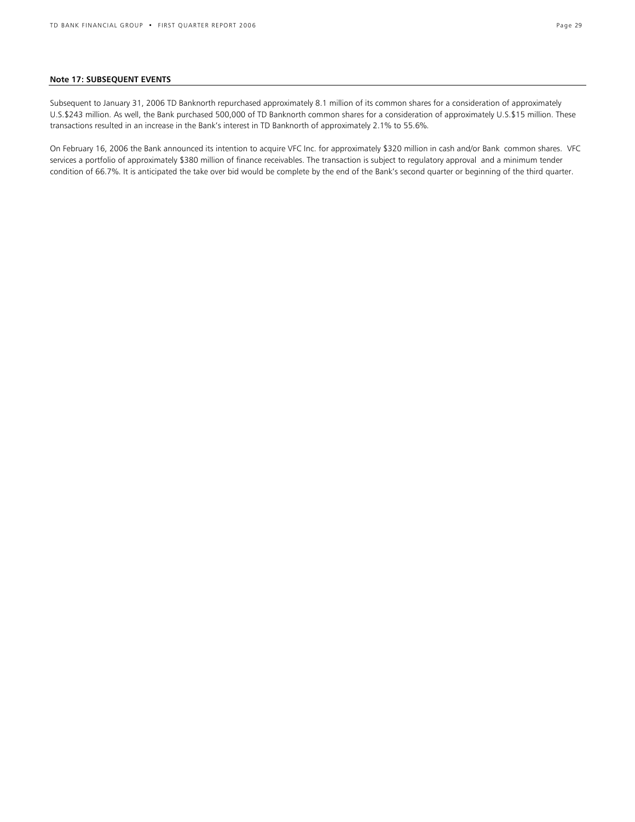## **Note 17: SUBSEQUENT EVENTS**

Subsequent to January 31, 2006 TD Banknorth repurchased approximately 8.1 million of its common shares for a consideration of approximately U.S.\$243 million. As well, the Bank purchased 500,000 of TD Banknorth common shares for a consideration of approximately U.S.\$15 million. These transactions resulted in an increase in the Bank's interest in TD Banknorth of approximately 2.1% to 55.6%.

On February 16, 2006 the Bank announced its intention to acquire VFC Inc. for approximately \$320 million in cash and/or Bank common shares. VFC services a portfolio of approximately \$380 million of finance receivables. The transaction is subject to regulatory approval and a minimum tender condition of 66.7%. It is anticipated the take over bid would be complete by the end of the Bank's second quarter or beginning of the third quarter.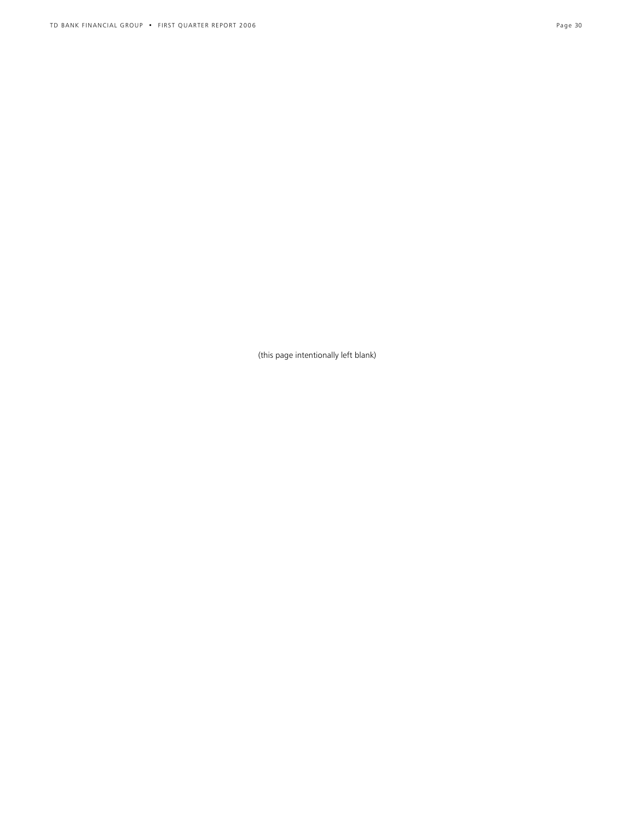(this page intentionally left blank)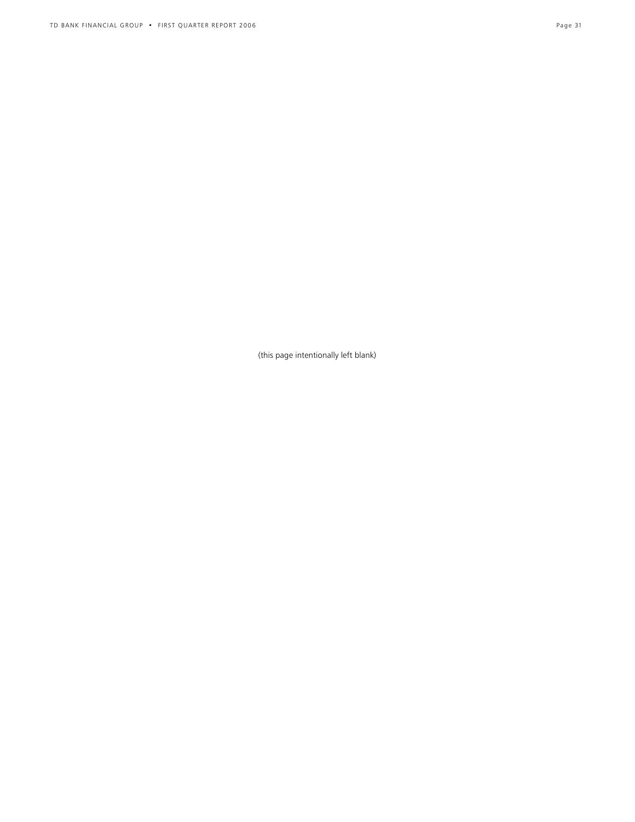(this page intentionally left blank)